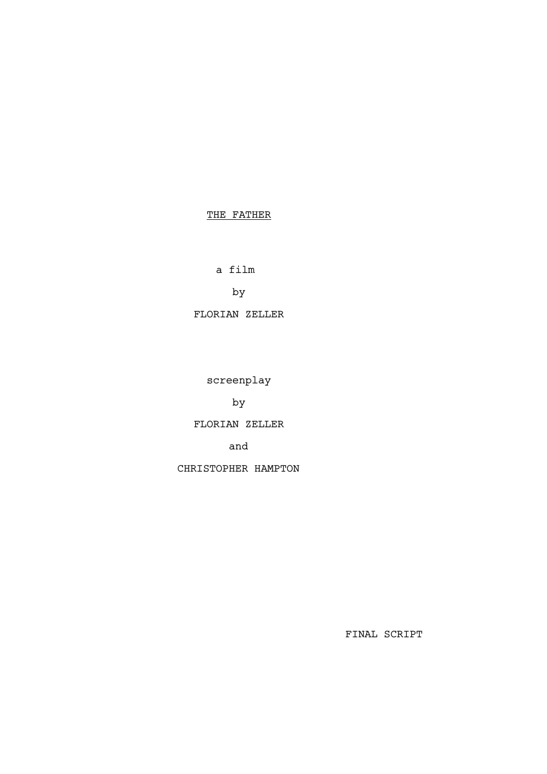# THE FATHER

a film

by

FLORIAN ZELLER

screenplay

by

FLORIAN ZELLER

and

CHRISTOPHER HAMPTON

FINAL SCRIPT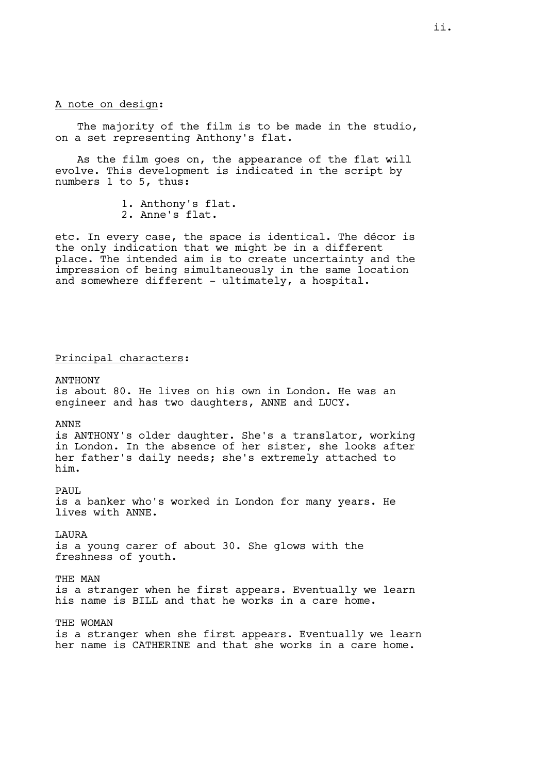# A note on design:

The majority of the film is to be made in the studio, on a set representing Anthony's flat.

As the film goes on, the appearance of the flat will evolve. This development is indicated in the script by numbers 1 to 5, thus:

1. Anthony's flat.

2. Anne's flat.

etc. In every case, the space is identical. The décor is the only indication that we might be in a different place. The intended aim is to create uncertainty and the impression of being simultaneously in the same location and somewhere different - ultimately, a hospital.

#### Principal characters:

ANTHONY is about 80. He lives on his own in London. He was an engineer and has two daughters, ANNE and LUCY.

ANNE is ANTHONY's older daughter. She's a translator, working

in London. In the absence of her sister, she looks after her father's daily needs; she's extremely attached to him.

PAUL. is a banker who's worked in London for many years. He lives with ANNE.

LAURA is a young carer of about 30. She glows with the freshness of youth.

THE MAN is a stranger when he first appears. Eventually we learn his name is BILL and that he works in a care home.

THE WOMAN is a stranger when she first appears. Eventually we learn her name is CATHERINE and that she works in a care home.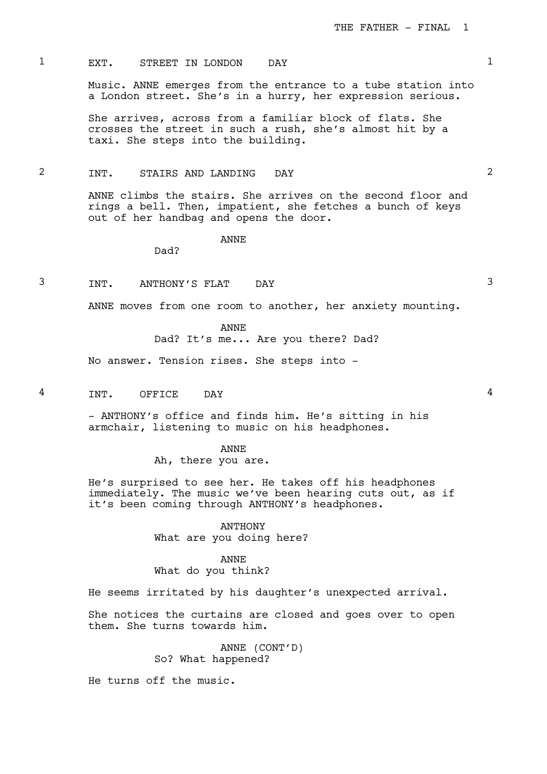# 1 EXT. STREET IN LONDON DAY 1

Music. ANNE emerges from the entrance to a tube station into a London street. She's in a hurry, her expression serious.

She arrives, across from a familiar block of flats. She crosses the street in such a rush, she's almost hit by a taxi. She steps into the building.

# 2 INT. STAIRS AND LANDING DAY 2

ANNE climbs the stairs. She arrives on the second floor and rings a bell. Then, impatient, she fetches a bunch of keys out of her handbag and opens the door.

ANNE

Dad?

3 INT. ANTHONY'S FLAT DAY 3

ANNE moves from one room to another, her anxiety mounting.

ANNE

Dad? It's me... Are you there? Dad?

No answer. Tension rises. She steps into -

4 INT. OFFICE DAY 4

- ANTHONY's office and finds him. He's sitting in his armchair, listening to music on his headphones.

ANNE

Ah, there you are.

He's surprised to see her. He takes off his headphones immediately. The music we've been hearing cuts out, as if it's been coming through ANTHONY's headphones.

> ANTHONY What are you doing here?

> > ANNE

What do you think?

He seems irritated by his daughter's unexpected arrival.

She notices the curtains are closed and goes over to open them. She turns towards him.

> ANNE (CONT'D) So? What happened?

He turns off the music.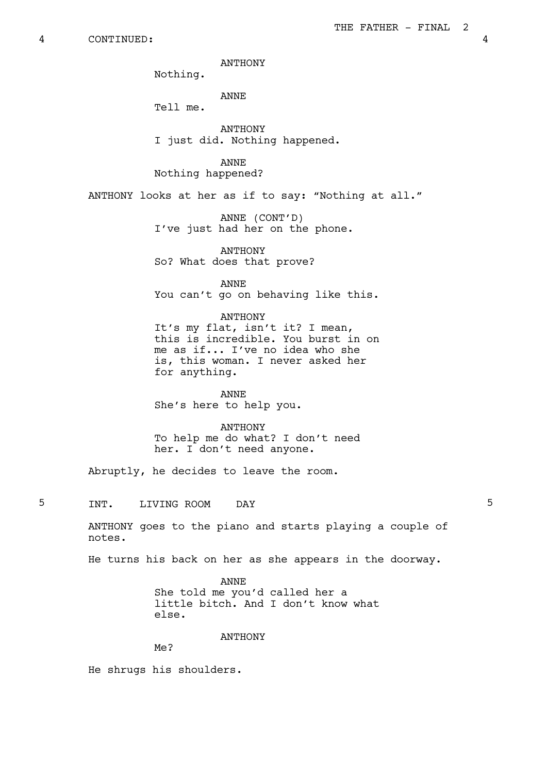ANTHONY

Nothing.

ANNE Tell me.

**ANTHONY** I just did. Nothing happened.

ANNE Nothing happened?

ANTHONY looks at her as if to say: "Nothing at all."

ANNE (CONT'D) I've just had her on the phone.

ANTHONY So? What does that prove?

ANNE You can't go on behaving like this.

## ANTHONY

It's my flat, isn't it? I mean, this is incredible. You burst in on me as if... I've no idea who she is, this woman. I never asked her for anything.

ANNE She's here to help you.

#### ANTHONY

To help me do what? I don't need her. I don't need anyone.

Abruptly, he decides to leave the room.

5 INT. LIVING ROOM DAY 5

ANTHONY goes to the piano and starts playing a couple of notes.

He turns his back on her as she appears in the doorway.

ANNE She told me you'd called her a little bitch. And I don't know what else.

ANTHONY

Me?

He shrugs his shoulders.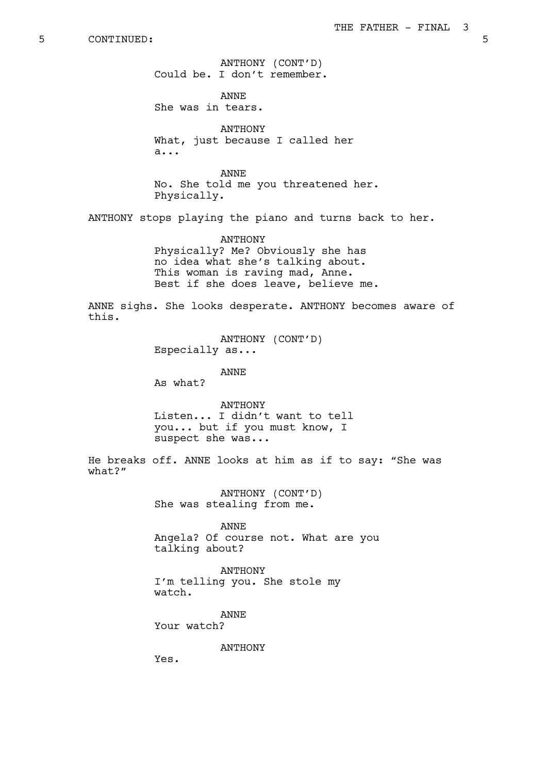ANTHONY (CONT'D) Could be. I don't remember.

ANNE She was in tears.

ANTHONY What, just because I called her a...

ANNE No. She told me you threatened her. Physically.

ANTHONY stops playing the piano and turns back to her.

ANTHONY Physically? Me? Obviously she has no idea what she's talking about. This woman is raving mad, Anne. Best if she does leave, believe me.

ANNE sighs. She looks desperate. ANTHONY becomes aware of this.

> ANTHONY (CONT'D) Especially as...

> > ANNE

As what?

ANTHONY Listen... I didn't want to tell you... but if you must know, I suspect she was...

He breaks off. ANNE looks at him as if to say: "She was what?"

> ANTHONY (CONT'D) She was stealing from me.

ANNE Angela? Of course not. What are you talking about?

ANTHONY I'm telling you. She stole my watch.

ANNE Your watch?

ANTHONY

Yes.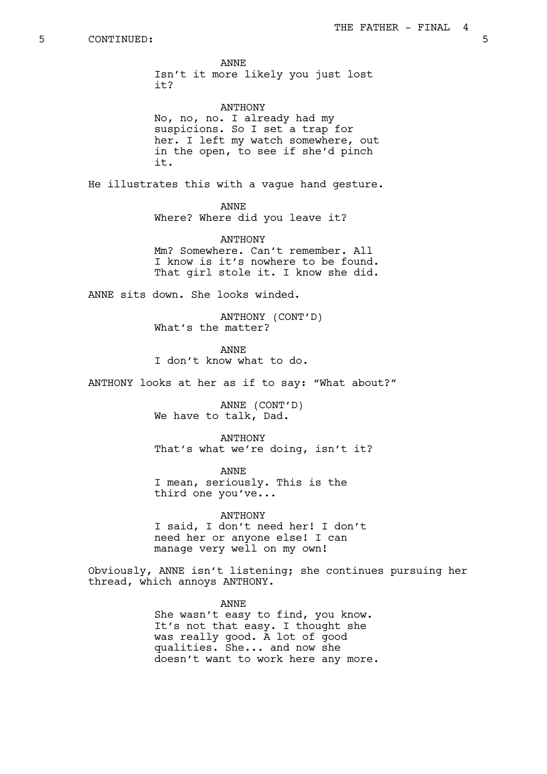ANNE Isn't it more likely you just lost it?

ANTHONY No, no, no. I already had my suspicions. So I set a trap for her. I left my watch somewhere, out in the open, to see if she'd pinch it.

He illustrates this with a vague hand gesture.

# ANNE

Where? Where did you leave it?

ANTHONY Mm? Somewhere. Can't remember. All I know is it's nowhere to be found. That girl stole it. I know she did.

ANNE sits down. She looks winded.

ANTHONY (CONT'D) What's the matter?

ANNE I don't know what to do.

ANTHONY looks at her as if to say: "What about?"

ANNE (CONT'D) We have to talk, Dad.

ANTHONY That's what we're doing, isn't it?

ANNE I mean, seriously. This is the third one you've...

ANTHONY I said, I don't need her! I don't need her or anyone else! I can manage very well on my own!

Obviously, ANNE isn't listening; she continues pursuing her thread, which annoys ANTHONY.

> ANNE She wasn't easy to find, you know. It's not that easy. I thought she was really good. A lot of good qualities. She... and now she doesn't want to work here any more.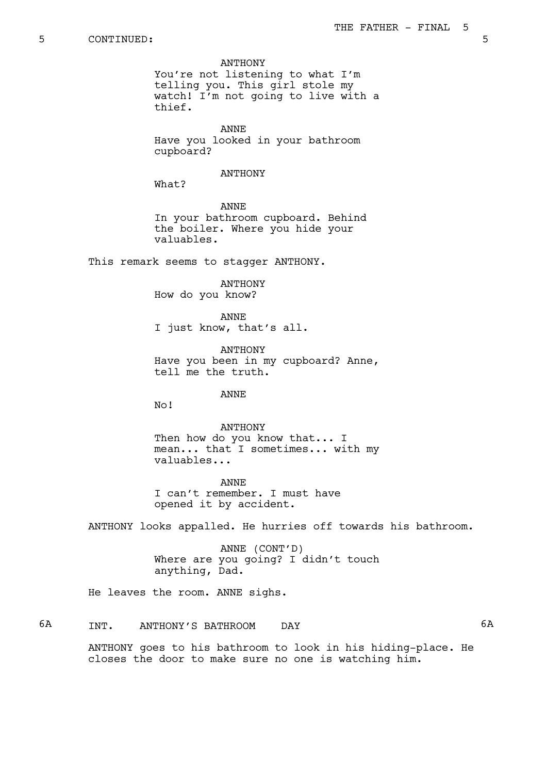ANTHONY

You're not listening to what I'm telling you. This girl stole my watch! I'm not going to live with a thief.

ANNE Have you looked in your bathroom cupboard?

#### ANTHONY

What?

ANNE In your bathroom cupboard. Behind the boiler. Where you hide your valuables.

This remark seems to stagger ANTHONY.

ANTHONY How do you know?

ANNE I just know, that's all.

ANTHONY Have you been in my cupboard? Anne, tell me the truth.

ANNE

No!

ANTHONY Then how do you know that... I mean... that I sometimes... with my valuables...

ANNE I can't remember. I must have opened it by accident.

ANTHONY looks appalled. He hurries off towards his bathroom.

ANNE (CONT'D) Where are you going? I didn't touch anything, Dad.

He leaves the room. ANNE sighs.

6A INT. ANTHONY'S BATHROOM DAY 6A ANTHONY goes to his bathroom to look in his hiding-place. He closes the door to make sure no one is watching him.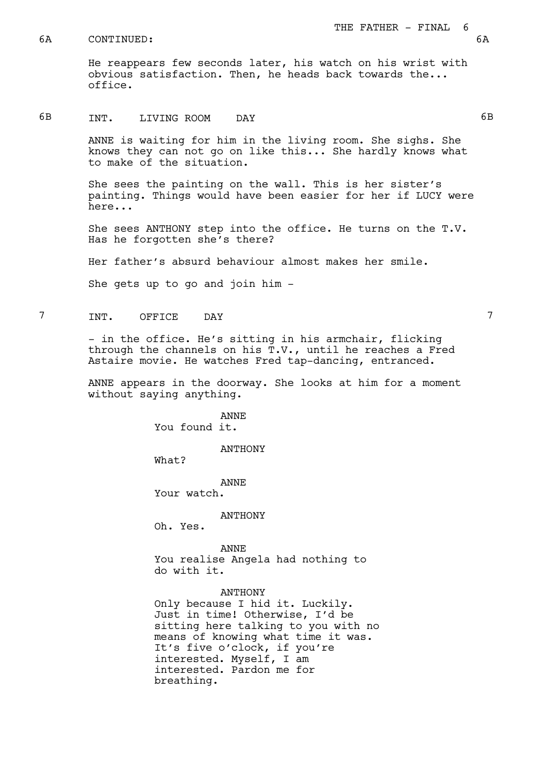#### 6A CONTINUED: 6A

# 6B INT. LIVING ROOM DAY 6B

ANNE is waiting for him in the living room. She sighs. She knows they can not go on like this... She hardly knows what to make of the situation.

She sees the painting on the wall. This is her sister's painting. Things would have been easier for her if LUCY were here...

She sees ANTHONY step into the office. He turns on the T.V. Has he forgotten she's there?

Her father's absurd behaviour almost makes her smile.

She gets up to go and join him -

# 7 INT. OFFICE DAY 7

- in the office. He's sitting in his armchair, flicking through the channels on his T.V., until he reaches a Fred Astaire movie. He watches Fred tap-dancing, entranced.

ANNE appears in the doorway. She looks at him for a moment without saying anything.

> ANNE You found it.

> > ANTHONY

What?

ANNE Your watch.

ANTHONY

Oh. Yes.

ANNE You realise Angela had nothing to do with it.

#### ANTHONY

Only because I hid it. Luckily. Just in time! Otherwise, I'd be sitting here talking to you with no means of knowing what time it was. It's five o'clock, if you're interested. Myself, I am interested. Pardon me for breathing.

THE FATHER - FINAL 6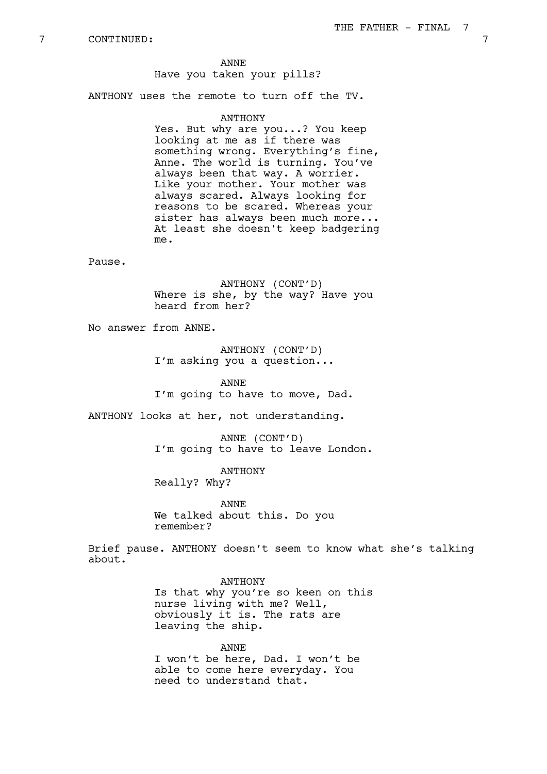# ANNE

## Have you taken your pills?

ANTHONY uses the remote to turn off the TV.

#### **ANTHONY**

Yes. But why are you...? You keep looking at me as if there was something wrong. Everything's fine, Anne. The world is turning. You've always been that way. A worrier. Like your mother. Your mother was always scared. Always looking for reasons to be scared. Whereas your sister has always been much more... At least she doesn't keep badgering me.

Pause.

ANTHONY (CONT'D) Where is she, by the way? Have you heard from her?

No answer from ANNE.

# ANTHONY (CONT'D) I'm asking you a question...

ANNE I'm going to have to move, Dad.

ANTHONY looks at her, not understanding.

ANNE (CONT'D) I'm going to have to leave London.

ANTHONY Really? Why?

ANNE We talked about this. Do you remember?

Brief pause. ANTHONY doesn't seem to know what she's talking about.

ANTHONY

Is that why you're so keen on this nurse living with me? Well, obviously it is. The rats are leaving the ship.

ANNE I won't be here, Dad. I won't be able to come here everyday. You need to understand that.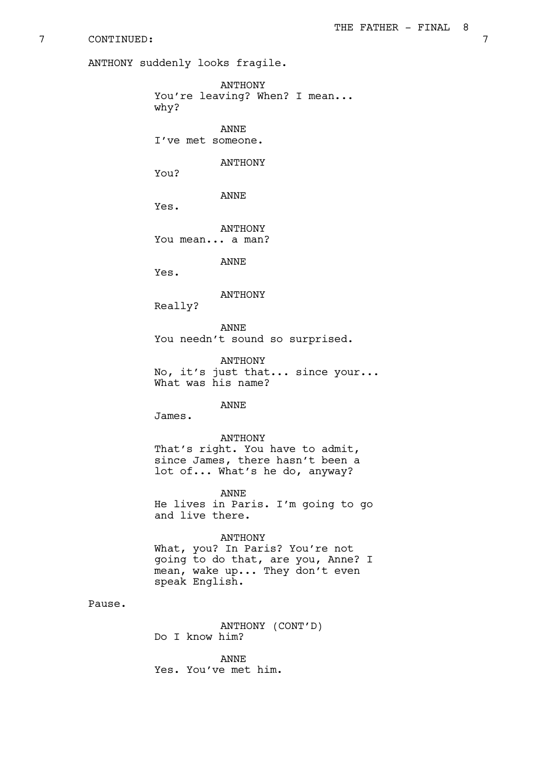ANTHONY suddenly looks fragile.

ANTHONY You're leaving? When? I mean... why? ANNE I've met someone. ANTHONY You? ANNE Yes. ANTHONY You mean... a man? ANNE Yes. ANTHONY Really? ANNE You needn't sound so surprised. ANTHONY No, it's just that... since your... What was his name? ANNE James. ANTHONY That's right. You have to admit, since James, there hasn't been a lot of... What's he do, anyway? ANNE He lives in Paris. I'm going to go and live there. ANTHONY What, you? In Paris? You're not going to do that, are you, Anne? I

Pause.

ANTHONY (CONT'D) Do I know him?

mean, wake up... They don't even

ANNE Yes. You've met him.

speak English.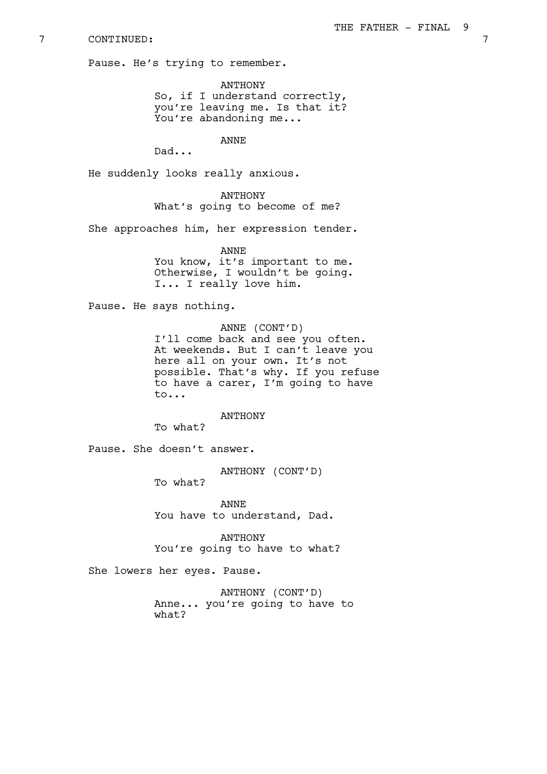Pause. He's trying to remember.

ANTHONY So, if I understand correctly, you're leaving me. Is that it? You're abandoning me...

ANNE

Dad...

He suddenly looks really anxious.

ANTHONY What's going to become of me?

She approaches him, her expression tender.

ANNE You know, it's important to me. Otherwise, I wouldn't be going. I... I really love him.

Pause. He says nothing.

ANNE (CONT'D) I'll come back and see you often. At weekends. But I can't leave you

here all on your own. It's not possible. That's why. If you refuse to have a carer, I'm going to have to...

ANTHONY

To what?

Pause. She doesn't answer.

ANTHONY (CONT'D)

To what?

ANNE You have to understand, Dad.

ANTHONY You're going to have to what?

She lowers her eyes. Pause.

ANTHONY (CONT'D) Anne... you're going to have to what?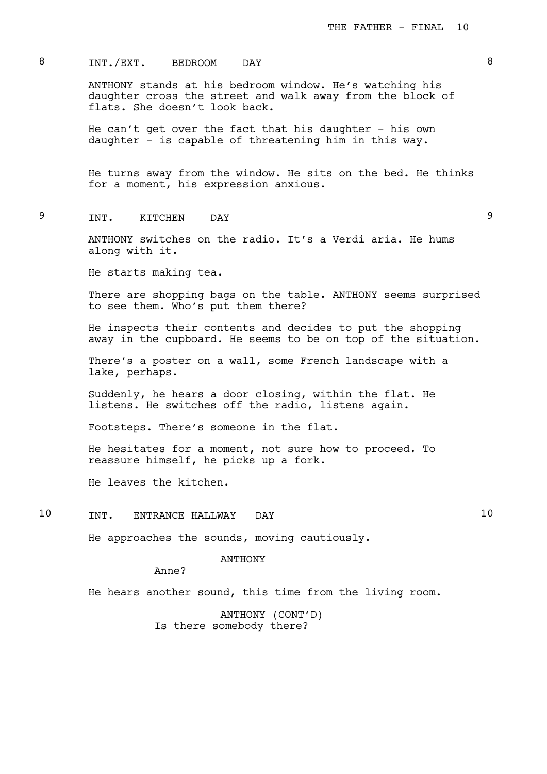# 8 INT./EXT. BEDROOM DAY 3

ANTHONY stands at his bedroom window. He's watching his daughter cross the street and walk away from the block of flats. She doesn't look back.

He can't get over the fact that his daughter - his own daughter - is capable of threatening him in this way.

He turns away from the window. He sits on the bed. He thinks for a moment, his expression anxious.

# 9 INT. KITCHEN DAY 9

ANTHONY switches on the radio. It's a Verdi aria. He hums along with it.

He starts making tea.

There are shopping bags on the table. ANTHONY seems surprised to see them. Who's put them there?

He inspects their contents and decides to put the shopping away in the cupboard. He seems to be on top of the situation.

There's a poster on a wall, some French landscape with a lake, perhaps.

Suddenly, he hears a door closing, within the flat. He listens. He switches off the radio, listens again.

Footsteps. There's someone in the flat.

He hesitates for a moment, not sure how to proceed. To reassure himself, he picks up a fork.

He leaves the kitchen.

10 INT. ENTRANCE HALLWAY DAY 10

He approaches the sounds, moving cautiously.

#### ANTHONY

Anne?

He hears another sound, this time from the living room.

ANTHONY (CONT'D) Is there somebody there?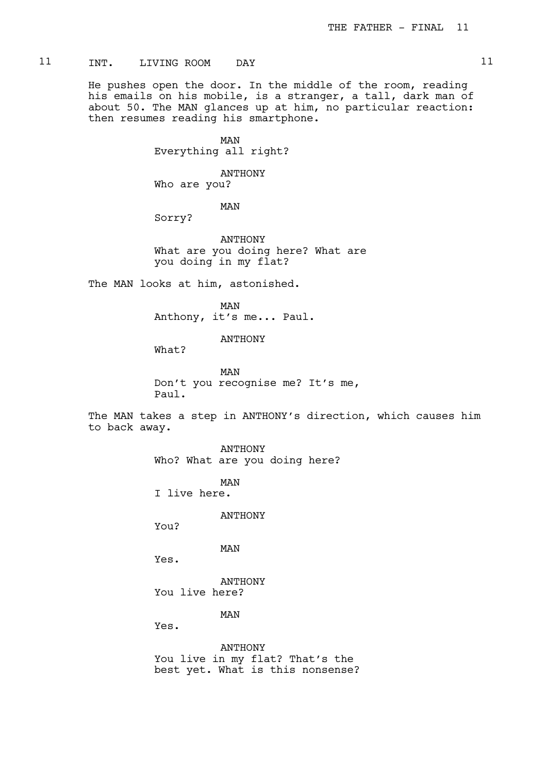# 11 INT. LIVING ROOM DAY 11

He pushes open the door. In the middle of the room, reading his emails on his mobile, is a stranger, a tall, dark man of about 50. The MAN glances up at him, no particular reaction: then resumes reading his smartphone.

> MAN Everything all right?

ANTHONY Who are you?

MAN

Sorry?

ANTHONY What are you doing here? What are you doing in my flat?

The MAN looks at him, astonished.

MAN Anthony, it's me... Paul.

ANTHONY

What?

MAN Don't you recognise me? It's me, Paul.

The MAN takes a step in ANTHONY's direction, which causes him to back away.

> ANTHONY Who? What are you doing here?

MAN I live here.

ANTHONY

You?

MAN

Yes.

ANTHONY You live here?

MAN

Yes.

ANTHONY You live in my flat? That's the best yet. What is this nonsense?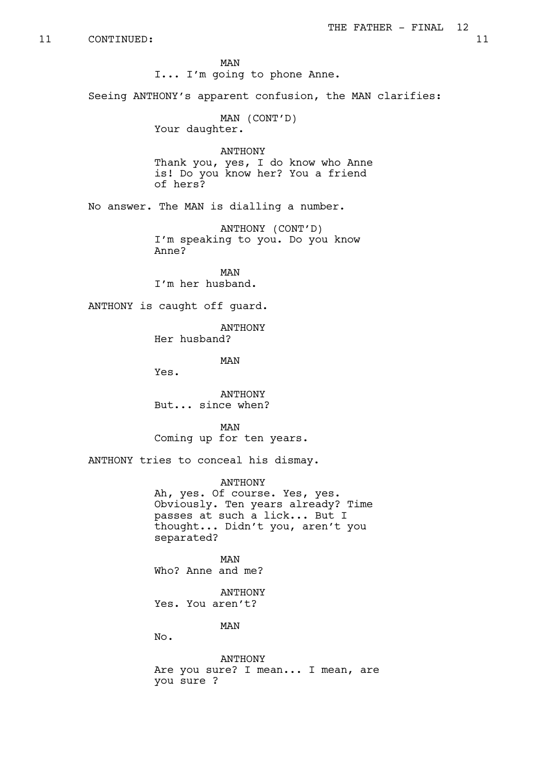MAN I... I'm going to phone Anne.

Seeing ANTHONY's apparent confusion, the MAN clarifies:

MAN (CONT'D) Your daughter.

ANTHONY Thank you, yes, I do know who Anne is! Do you know her? You a friend of hers?

No answer. The MAN is dialling a number.

ANTHONY (CONT'D) I'm speaking to you. Do you know Anne?

MAN I'm her husband.

ANTHONY is caught off guard.

ANTHONY Her husband?

MAN

Yes.

ANTHONY But... since when?

MAN Coming up for ten years.

ANTHONY tries to conceal his dismay.

ANTHONY Ah, yes. Of course. Yes, yes. Obviously. Ten years already? Time passes at such a lick... But I thought... Didn't you, aren't you separated?

MAN Who? Anne and me?

ANTHONY Yes. You aren't?

MAN

No.

ANTHONY Are you sure? I mean... I mean, are you sure ?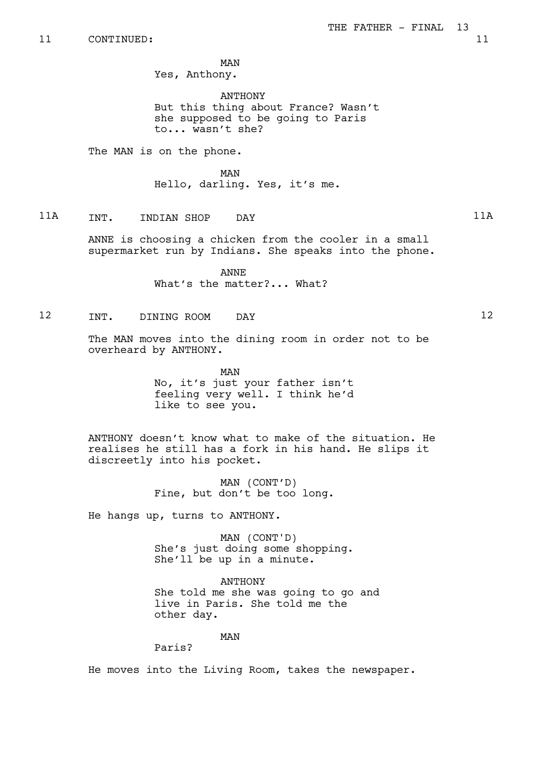MAN

Yes, Anthony.

ANTHONY But this thing about France? Wasn't she supposed to be going to Paris to... wasn't she?

The MAN is on the phone.

MAN Hello, darling. Yes, it's me.

11A INT. INDIAN SHOP DAY 11A

ANNE is choosing a chicken from the cooler in a small supermarket run by Indians. She speaks into the phone.

> ANNE What's the matter?... What?

# 12 INT. DINING ROOM DAY 12

The MAN moves into the dining room in order not to be overheard by ANTHONY.

> MAN No, it's just your father isn't feeling very well. I think he'd like to see you.

ANTHONY doesn't know what to make of the situation. He realises he still has a fork in his hand. He slips it discreetly into his pocket.

> MAN (CONT'D) Fine, but don't be too long.

He hangs up, turns to ANTHONY.

MAN (CONT'D) She's just doing some shopping. She'll be up in a minute.

ANTHONY She told me she was going to go and live in Paris. She told me the other day.

MAN

Paris?

He moves into the Living Room, takes the newspaper.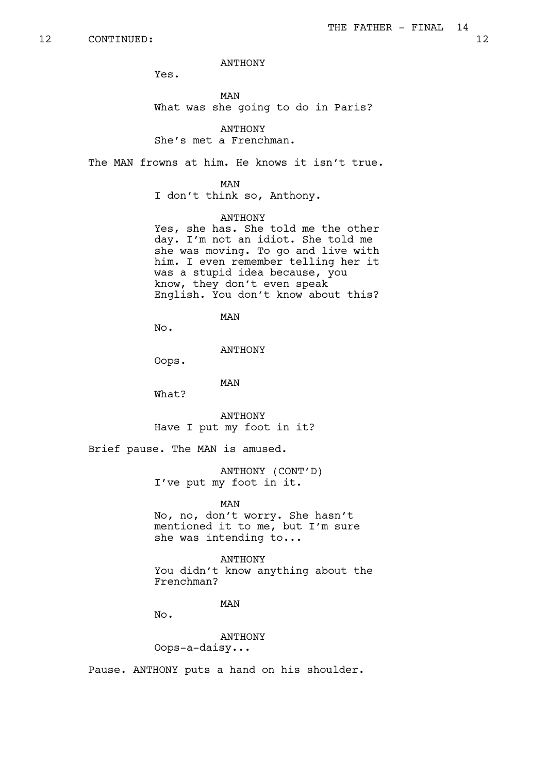ANTHONY

Yes.

MAN What was she going to do in Paris?

**ANTHONY** She's met a Frenchman.

The MAN frowns at him. He knows it isn't true.

MAN

I don't think so, Anthony.

# ANTHONY

Yes, she has. She told me the other day. I'm not an idiot. She told me she was moving. To go and live with him. I even remember telling her it was a stupid idea because, you know, they don't even speak English. You don't know about this?

# MAN

No.

ANTHONY

Oops.

MAN

What?

ANTHONY Have I put my foot in it?

Brief pause. The MAN is amused.

ANTHONY (CONT'D) I've put my foot in it.

MAN

No, no, don't worry. She hasn't mentioned it to me, but I'm sure she was intending to...

#### ANTHONY

You didn't know anything about the Frenchman?

# MAN

No.

ANTHONY Oops-a-daisy...

Pause. ANTHONY puts a hand on his shoulder.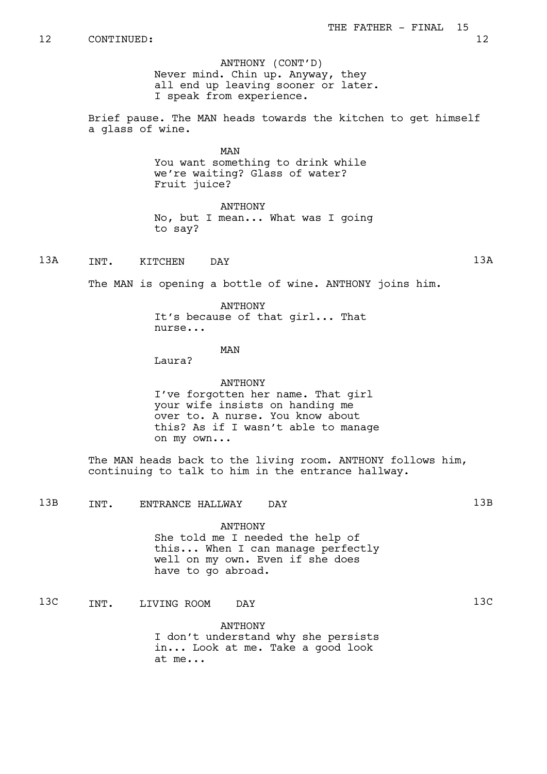ANTHONY (CONT'D) Never mind. Chin up. Anyway, they all end up leaving sooner or later. I speak from experience.

Brief pause. The MAN heads towards the kitchen to get himself a glass of wine.

> MAN You want something to drink while we're waiting? Glass of water? Fruit juice?

ANTHONY No, but I mean... What was I going to say?

13A INT. KITCHEN DAY 13A

The MAN is opening a bottle of wine. ANTHONY joins him.

ANTHONY

It's because of that girl... That nurse...

#### MAN

Laura?

ANTHONY I've forgotten her name. That girl your wife insists on handing me over to. A nurse. You know about this? As if I wasn't able to manage on my own...

The MAN heads back to the living room. ANTHONY follows him, continuing to talk to him in the entrance hallway.

13B INT. ENTRANCE HALLWAY DAY 13B

ANTHONY

She told me I needed the help of this... When I can manage perfectly well on my own. Even if she does have to go abroad.

13C INT. LIVING ROOM DAY 13C

ANTHONY

I don't understand why she persists in... Look at me. Take a good look at me...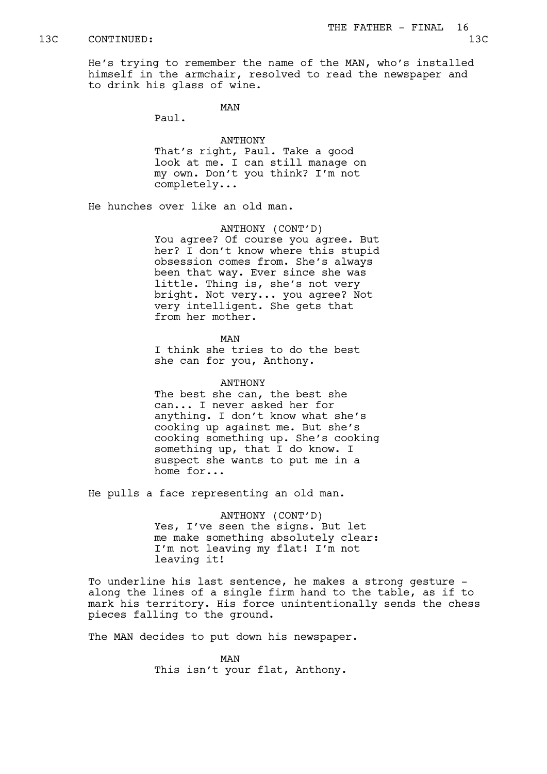He's trying to remember the name of the MAN, who's installed himself in the armchair, resolved to read the newspaper and to drink his glass of wine.

MAN

Paul.

#### ANTHONY

That's right, Paul. Take a good look at me. I can still manage on my own. Don't you think? I'm not completely...

He hunches over like an old man.

ANTHONY (CONT'D) You agree? Of course you agree. But her? I don't know where this stupid obsession comes from. She's always been that way. Ever since she was little. Thing is, she's not very bright. Not very... you agree? Not very intelligent. She gets that from her mother.

MAN

I think she tries to do the best she can for you, Anthony.

#### ANTHONY

The best she can, the best she can... I never asked her for anything. I don't know what she's cooking up against me. But she's cooking something up. She's cooking something up, that I do know. I suspect she wants to put me in a home for...

He pulls a face representing an old man.

ANTHONY (CONT'D) Yes, I've seen the signs. But let me make something absolutely clear: I'm not leaving my flat! I'm not leaving it!

To underline his last sentence, he makes a strong gesture along the lines of a single firm hand to the table, as if to mark his territory. His force unintentionally sends the chess pieces falling to the ground.

The MAN decides to put down his newspaper.

MAN This isn't your flat, Anthony.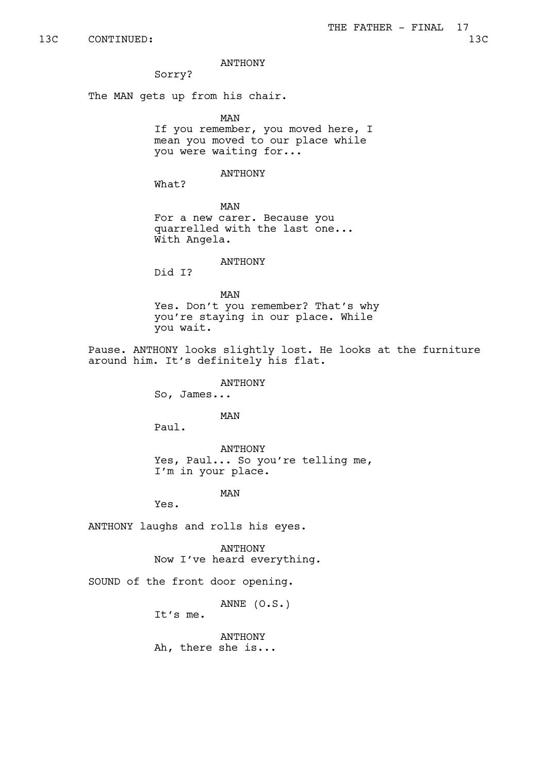#### ANTHONY

Sorry?

The MAN gets up from his chair.

MAN If you remember, you moved here, I mean you moved to our place while you were waiting for...

#### ANTHONY

What?

MAN For a new carer. Because you quarrelled with the last one... With Angela.

## ANTHONY

Did I?

MAN Yes. Don't you remember? That's why you're staying in our place. While you wait.

Pause. ANTHONY looks slightly lost. He looks at the furniture around him. It's definitely his flat.

ANTHONY

So, James...

MAN

Paul.

ANTHONY Yes, Paul... So you're telling me, I'm in your place.

MAN

Yes.

ANTHONY laughs and rolls his eyes.

ANTHONY Now I've heard everything.

SOUND of the front door opening.

ANNE (O.S.)

It's me.

ANTHONY Ah, there she is...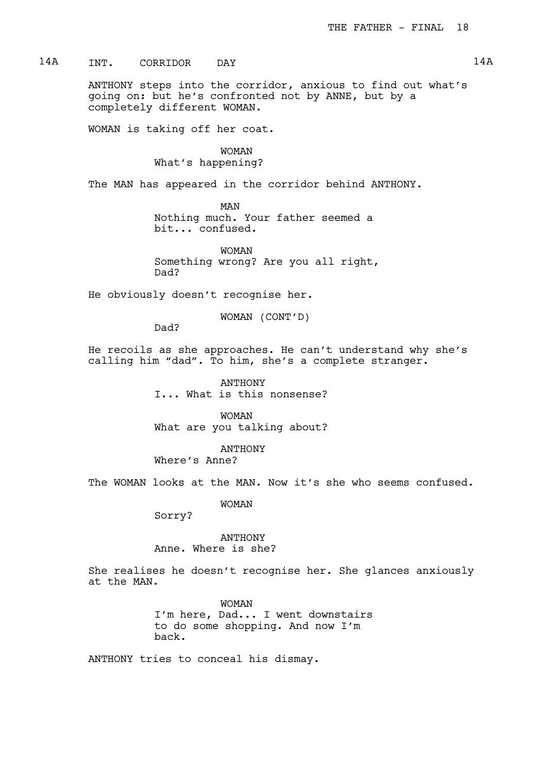14A INT. CORRIDOR DAY 14A

ANTHONY steps into the corridor, anxious to find out what's going on: but he's confronted not by ANNE, but by a completely different WOMAN.

WOMAN is taking off her coat.

WOMAN What's happening?

The MAN has appeared in the corridor behind ANTHONY.

MAN Nothing much. Your father seemed a bit... confused.

WOMAN Something wrong? Are you all right, Dad?

He obviously doesn't recognise her.

WOMAN (CONT'D)

Dad?

He recoils as she approaches. He can't understand why she's calling him "dad". To him, she's a complete stranger.

> ANTHONY I... What is this nonsense?

WOMAN What are you talking about?

ANTHONY Where's Anne?

The WOMAN looks at the MAN. Now it's she who seems confused.

WOMAN

Sorry?

ANTHONY Anne. Where is she?

She realises he doesn't recognise her. She glances anxiously at the MAN.

> WOMAN I'm here, Dad... I went downstairs to do some shopping. And now I'm back.

ANTHONY tries to conceal his dismay.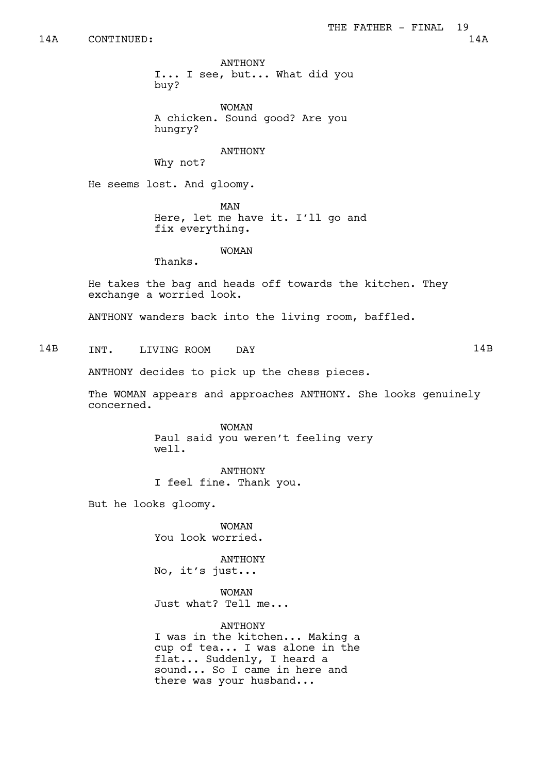ANTHONY I... I see, but... What did you buy?

WOMAN A chicken. Sound good? Are you hungry?

#### ANTHONY

Why not?

He seems lost. And gloomy.

MAN

Here, let me have it. I'll go and fix everything.

#### WOMAN

Thanks.

He takes the bag and heads off towards the kitchen. They exchange a worried look.

ANTHONY wanders back into the living room, baffled.

14B INT. LIVING ROOM DAY 14B

ANTHONY decides to pick up the chess pieces.

The WOMAN appears and approaches ANTHONY. She looks genuinely concerned.

> WOMAN Paul said you weren't feeling very well.

ANTHONY I feel fine. Thank you.

But he looks gloomy.

WOMAN You look worried.

ANTHONY No, it's just...

WOMAN Just what? Tell me...

ANTHONY I was in the kitchen... Making a cup of tea... I was alone in the flat... Suddenly, I heard a sound... So I came in here and

there was your husband...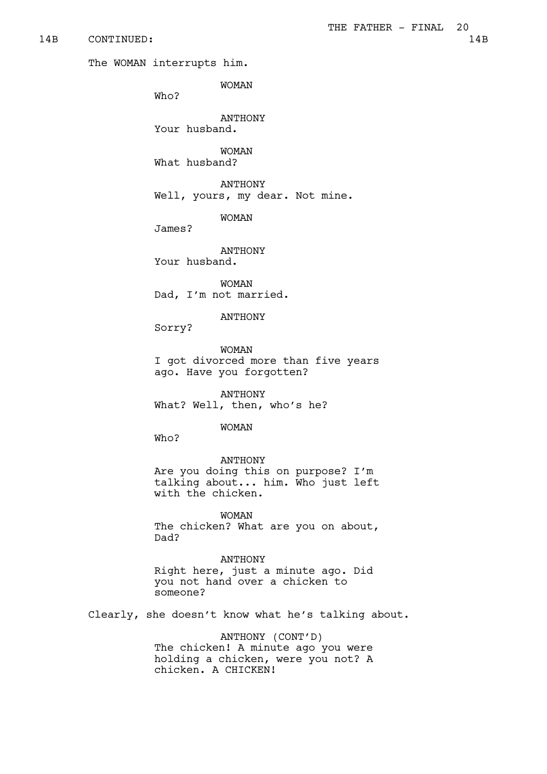#### 14B CONTINUED: 14B

The WOMAN interrupts him.

WOMAN

Who?

ANTHONY Your husband.

WOMAN

What husband?

ANTHONY Well, yours, my dear. Not mine.

WOMAN

James?

ANTHONY

Your husband.

WOMAN Dad, I'm not married.

#### ANTHONY

Sorry?

WOMAN I got divorced more than five years ago. Have you forgotten?

ANTHONY What? Well, then, who's he?

WOMAN

Who?

ANTHONY Are you doing this on purpose? I'm talking about... him. Who just left with the chicken.

WOMAN The chicken? What are you on about, Dad?

ANTHONY

Right here, just a minute ago. Did you not hand over a chicken to someone?

Clearly, she doesn't know what he's talking about.

ANTHONY (CONT'D) The chicken! A minute ago you were holding a chicken, were you not? A chicken. A CHICKEN!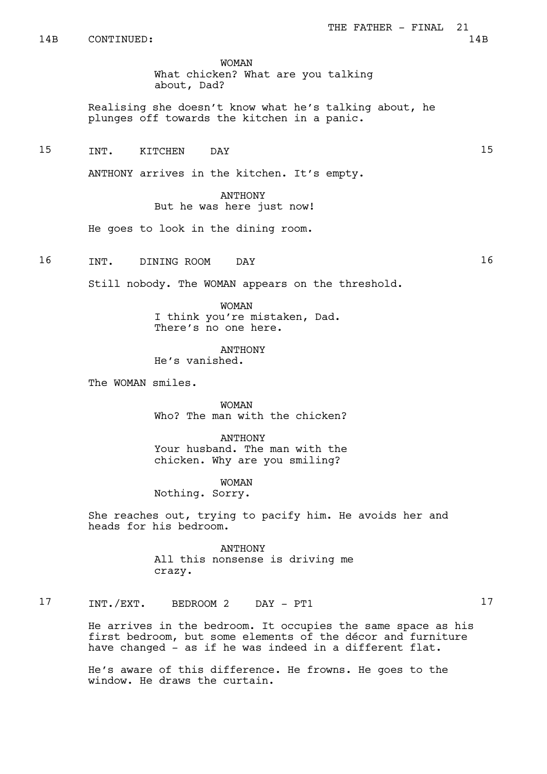WOMAN

What chicken? What are you talking about, Dad?

Realising she doesn't know what he's talking about, he plunges off towards the kitchen in a panic.

15 TNT. KITCHEN DAY 15

ANTHONY arrives in the kitchen. It's empty.

ANTHONY But he was here just now!

He goes to look in the dining room.

16 INT. DINING ROOM DAY 16

Still nobody. The WOMAN appears on the threshold.

WOMAN I think you're mistaken, Dad.

ANTHONY

There's no one here.

He's vanished.

The WOMAN smiles.

WOMAN Who? The man with the chicken?

ANTHONY Your husband. The man with the chicken. Why are you smiling?

WOMAN Nothing. Sorry.

She reaches out, trying to pacify him. He avoids her and heads for his bedroom.

> ANTHONY All this nonsense is driving me crazy.

17 INT./EXT. BEDROOM 2 DAY - PT1 17

He arrives in the bedroom. It occupies the same space as his first bedroom, but some elements of the décor and furniture have changed - as if he was indeed in a different flat.

He's aware of this difference. He frowns. He goes to the window. He draws the curtain.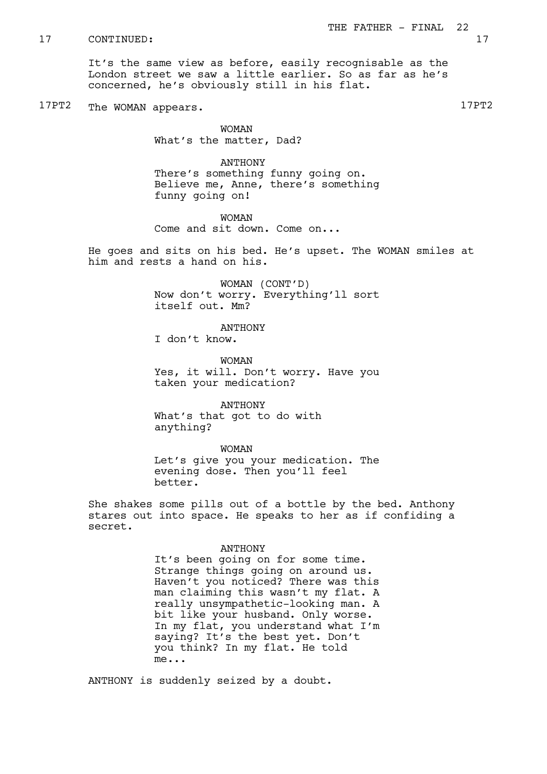It's the same view as before, easily recognisable as the London street we saw a little earlier. So as far as he's concerned, he's obviously still in his flat.

17PT2 The WOMAN appears.

WOMAN What's the matter, Dad?

ANTHONY There's something funny going on. Believe me, Anne, there's something funny going on!

WOMAN Come and sit down. Come on...

He goes and sits on his bed. He's upset. The WOMAN smiles at him and rests a hand on his.

> WOMAN (CONT'D) Now don't worry. Everything'll sort itself out. Mm?

> > ANTHONY

I don't know.

WOMAN Yes, it will. Don't worry. Have you taken your medication?

ANTHONY What's that got to do with anything?

WOMAN

Let's give you your medication. The evening dose. Then you'll feel better.

She shakes some pills out of a bottle by the bed. Anthony stares out into space. He speaks to her as if confiding a secret.

#### ANTHONY

It's been going on for some time. Strange things going on around us. Haven't you noticed? There was this man claiming this wasn't my flat. A really unsympathetic-looking man. A bit like your husband. Only worse. In my flat, you understand what I'm saying? It's the best yet. Don't you think? In my flat. He told me...

ANTHONY is suddenly seized by a doubt.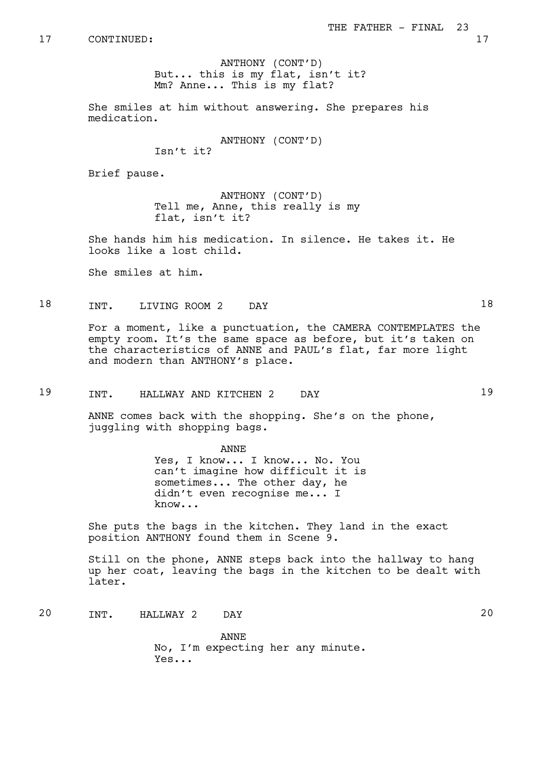ANTHONY (CONT'D) But... this is my flat, isn't it? Mm? Anne... This is my flat?

She smiles at him without answering. She prepares his medication.

ANTHONY (CONT'D)

Isn't it?

Brief pause.

ANTHONY (CONT'D) Tell me, Anne, this really is my flat, isn't it?

She hands him his medication. In silence. He takes it. He looks like a lost child.

She smiles at him.

18 INT. LIVING ROOM 2 DAY 18

For a moment, like a punctuation, the CAMERA CONTEMPLATES the empty room. It's the same space as before, but it's taken on the characteristics of ANNE and PAUL's flat, far more light and modern than ANTHONY's place.

19 INT. HALLWAY AND KITCHEN 2 DAY 19

ANNE comes back with the shopping. She's on the phone, juggling with shopping bags.

> ANNE Yes, I know... I know... No. You can't imagine how difficult it is sometimes... The other day, he didn't even recognise me... I know...

She puts the bags in the kitchen. They land in the exact position ANTHONY found them in Scene 9.

Still on the phone, ANNE steps back into the hallway to hang up her coat, leaving the bags in the kitchen to be dealt with later.

20 INT. HALLWAY 2 DAY 20

ANNE No, I'm expecting her any minute. Yes...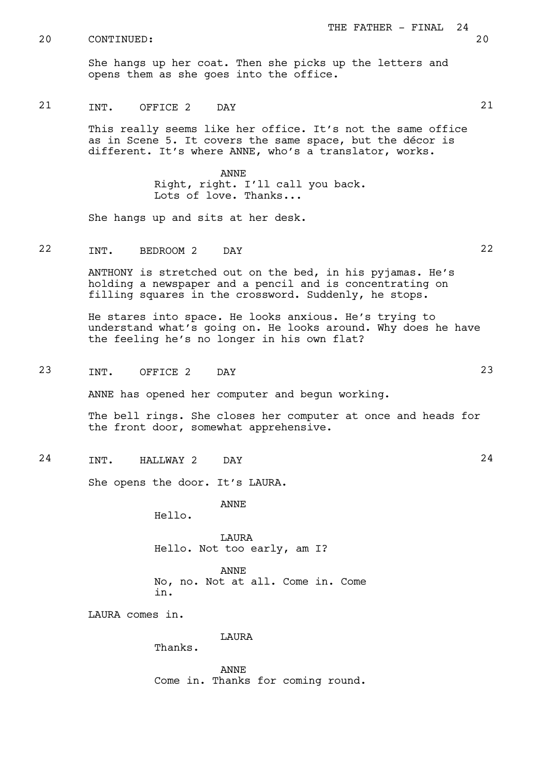She hangs up her coat. Then she picks up the letters and opens them as she goes into the office.

# 21 INT. OFFICE 2 DAY 21

This really seems like her office. It's not the same office as in Scene 5. It covers the same space, but the décor is different. It's where ANNE, who's a translator, works.

> ANNE Right, right. I'll call you back. Lots of love. Thanks...

She hangs up and sits at her desk.

# 22 INT. BEDROOM 2 DAY 22

ANTHONY is stretched out on the bed, in his pyjamas. He's holding a newspaper and a pencil and is concentrating on filling squares in the crossword. Suddenly, he stops.

He stares into space. He looks anxious. He's trying to understand what's going on. He looks around. Why does he have the feeling he's no longer in his own flat?

23 INT. OFFICE 2 DAY 23

ANNE has opened her computer and begun working.

The bell rings. She closes her computer at once and heads for the front door, somewhat apprehensive.

24 INT. HALLWAY 2 DAY 24

She opens the door. It's LAURA.

Hello.

LAURA Hello. Not too early, am I?

ANNE

ANNE No, no. Not at all. Come in. Come in.

LAURA comes in.

LAURA

Thanks.

ANNE Come in. Thanks for coming round.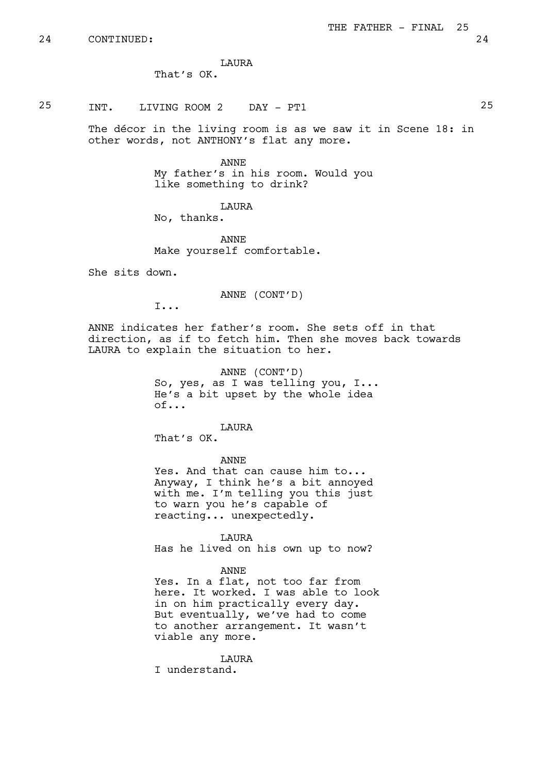LAURA

That's OK.

# 25 INT. LIVING ROOM 2 DAY - PT1 25

The décor in the living room is as we saw it in Scene 18: in other words, not ANTHONY's flat any more.

> ANNE My father's in his room. Would you like something to drink?

> > LAURA

No, thanks.

ANNE Make yourself comfortable.

She sits down.

ANNE (CONT'D)

I...

ANNE indicates her father's room. She sets off in that direction, as if to fetch him. Then she moves back towards LAURA to explain the situation to her.

> ANNE (CONT'D) So, yes, as I was telling you, I... He's a bit upset by the whole idea of...

> > LAURA

That's OK.

ANNE

Yes. And that can cause him to... Anyway, I think he's a bit annoyed with me. I'm telling you this just to warn you he's capable of reacting... unexpectedly.

LAURA Has he lived on his own up to now?

ANNE

Yes. In a flat, not too far from here. It worked. I was able to look in on him practically every day. But eventually, we've had to come to another arrangement. It wasn't viable any more.

LAURA I understand.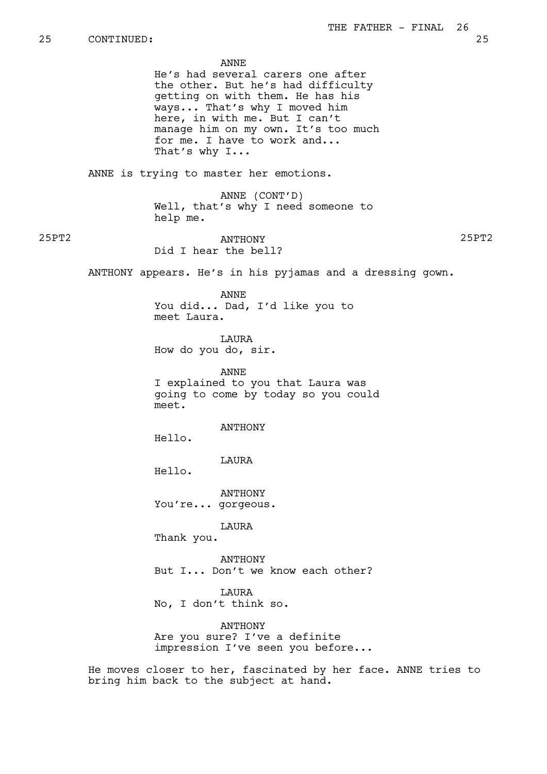ANNE

He's had several carers one after the other. But he's had difficulty getting on with them. He has his ways... That's why I moved him here, in with me. But I can't manage him on my own. It's too much for me. I have to work and... That's why I...

ANNE is trying to master her emotions.

ANNE (CONT'D) Well, that's why I need someone to help me.

25PT2 ANTHONY 25PT2 Did I hear the bell?

ANTHONY appears. He's in his pyjamas and a dressing gown.

ANNE You did... Dad, I'd like you to meet Laura.

**TAURA** How do you do, sir.

ANNE I explained to you that Laura was going to come by today so you could meet.

ANTHONY

Hello.

LAURA

Hello.

ANTHONY You're... gorgeous.

LAURA

Thank you.

ANTHONY But I... Don't we know each other?

LAURA No, I don't think so.

ANTHONY Are you sure? I've a definite impression I've seen you before...

He moves closer to her, fascinated by her face. ANNE tries to bring him back to the subject at hand.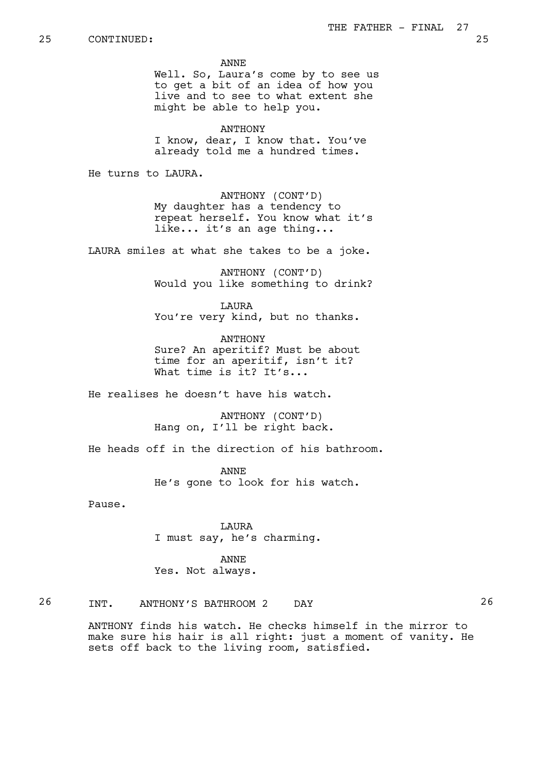ANNE

Well. So, Laura's come by to see us to get a bit of an idea of how you live and to see to what extent she might be able to help you.

**ANTHONY** I know, dear, I know that. You've already told me a hundred times.

He turns to LAURA.

ANTHONY (CONT'D) My daughter has a tendency to repeat herself. You know what it's like... it's an age thing...

LAURA smiles at what she takes to be a joke.

ANTHONY (CONT'D) Would you like something to drink?

LAURA You're very kind, but no thanks.

ANTHONY Sure? An aperitif? Must be about time for an aperitif, isn't it? What time is it? It's...

He realises he doesn't have his watch.

ANTHONY (CONT'D) Hang on, I'll be right back.

He heads off in the direction of his bathroom.

ANNE He's gone to look for his watch.

Pause.

LAURA I must say, he's charming.

ANNE Yes. Not always.

26 INT. ANTHONY'S BATHROOM 2 DAY 26

ANTHONY finds his watch. He checks himself in the mirror to make sure his hair is all right: just a moment of vanity. He sets off back to the living room, satisfied.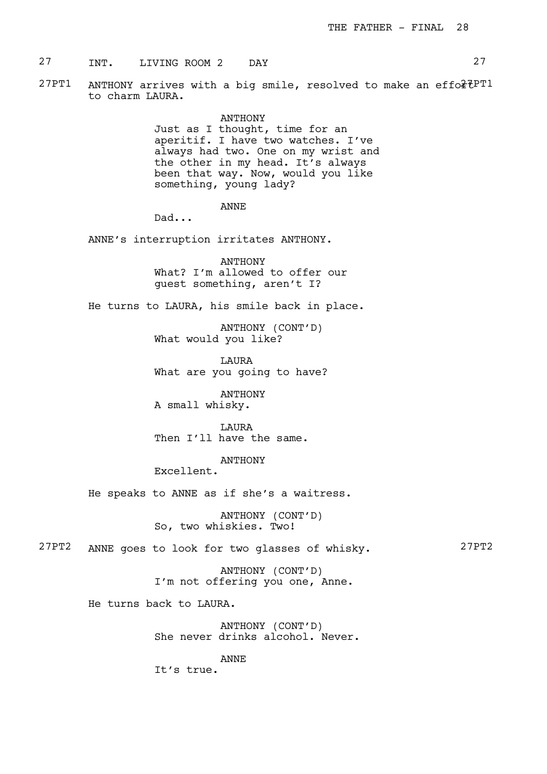27 TNT. LIVING ROOM 2 DAY 27

27PT1 ANTHONY arrives with a big smile, resolved to make an effo $*7PT1$ to charm LAURA.

> ANTHONY Just as I thought, time for an aperitif. I have two watches. I've always had two. One on my wrist and the other in my head. It's always been that way. Now, would you like something, young lady?

> > ANNE

Dad...

ANNE's interruption irritates ANTHONY.

ANTHONY What? I'm allowed to offer our guest something, aren't I?

He turns to LAURA, his smile back in place.

ANTHONY (CONT'D) What would you like?

LAURA What are you going to have?

ANTHONY A small whisky.

LAURA Then I'll have the same.

ANTHONY

Excellent.

He speaks to ANNE as if she's a waitress.

ANTHONY (CONT'D) So, two whiskies. Two!

27PT2 ANNE goes to look for two glasses of whisky. 27PT2

ANTHONY (CONT'D) I'm not offering you one, Anne.

He turns back to LAURA.

ANTHONY (CONT'D) She never drinks alcohol. Never.

ANNE

It's true.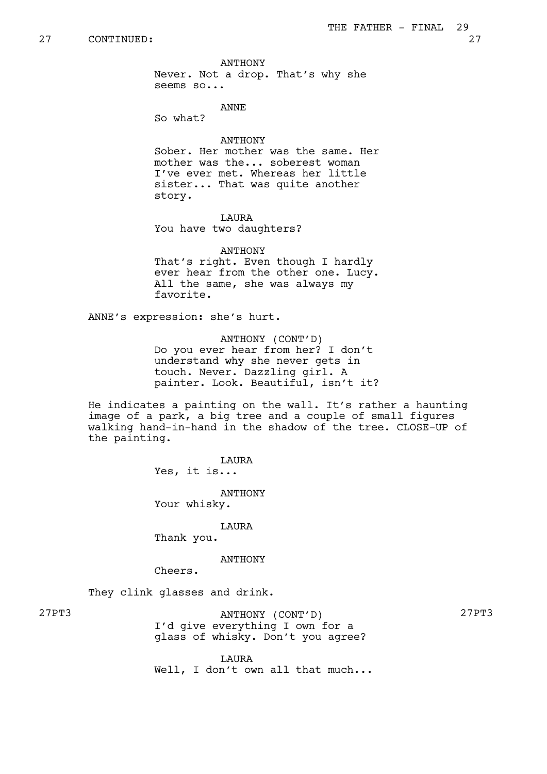ANTHONY

Never. Not a drop. That's why she seems so...

ANNE

So what?

# ANTHONY

Sober. Her mother was the same. Her mother was the... soberest woman I've ever met. Whereas her little sister... That was quite another story.

**T.AURA** You have two daughters?

ANTHONY That's right. Even though I hardly ever hear from the other one. Lucy. All the same, she was always my favorite.

ANNE's expression: she's hurt.

ANTHONY (CONT'D) Do you ever hear from her? I don't understand why she never gets in touch. Never. Dazzling girl. A painter. Look. Beautiful, isn't it?

He indicates a painting on the wall. It's rather a haunting image of a park, a big tree and a couple of small figures walking hand-in-hand in the shadow of the tree. CLOSE-UP of the painting.

> LAURA Yes, it is...

> > ANTHONY

Your whisky.

LAURA

Thank you.

#### ANTHONY

Cheers.

They clink glasses and drink.

27PT3 ANTHONY (CONT'D) 27PT3 I'd give everything I own for a glass of whisky. Don't you agree?

**T.ATIRA** Well, I don't own all that much...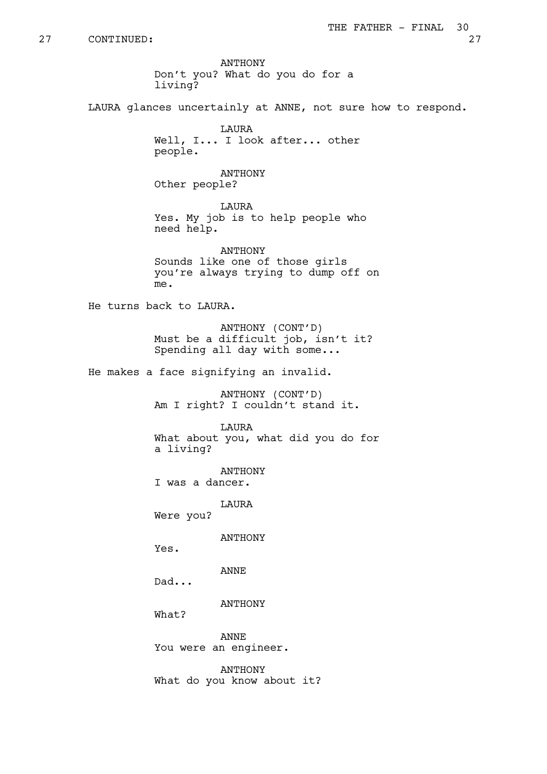ANTHONY Don't you? What do you do for a living?

LAURA glances uncertainly at ANNE, not sure how to respond.

**TAURA** Well, I... I look after... other people.

ANTHONY Other people?

LAURA Yes. My job is to help people who need help.

ANTHONY Sounds like one of those girls you're always trying to dump off on me.

He turns back to LAURA.

ANTHONY (CONT'D) Must be a difficult job, isn't it? Spending all day with some...

He makes a face signifying an invalid.

ANTHONY (CONT'D) Am I right? I couldn't stand it.

LAURA What about you, what did you do for a living?

ANTHONY I was a dancer.

LAURA

Were you?

ANTHONY

Yes.

ANNE

Dad...

ANTHONY

What?

ANNE You were an engineer.

ANTHONY What do you know about it?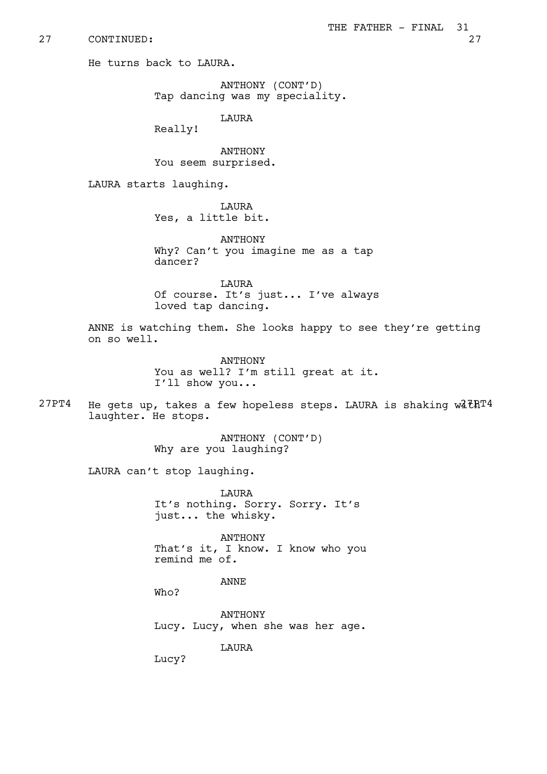He turns back to LAURA.

ANTHONY (CONT'D) Tap dancing was my speciality.

LAURA

Really!

ANTHONY You seem surprised.

LAURA starts laughing.

LAURA Yes, a little bit.

**ANTHONY** Why? Can't you imagine me as a tap dancer?

LAURA Of course. It's just... I've always loved tap dancing.

ANNE is watching them. She looks happy to see they're getting on so well.

> ANTHONY You as well? I'm still great at it. I'll show you...

 $27PT4$  He gets up, takes a few hopeless steps. LAURA is shaking w $27PT4$ laughter. He stops.

> ANTHONY (CONT'D) Why are you laughing?

LAURA can't stop laughing.

LAURA It's nothing. Sorry. Sorry. It's just... the whisky.

ANTHONY That's it, I know. I know who you remind me of.

ANNE

Who?

ANTHONY Lucy. Lucy, when she was her age.

LAURA

Lucy?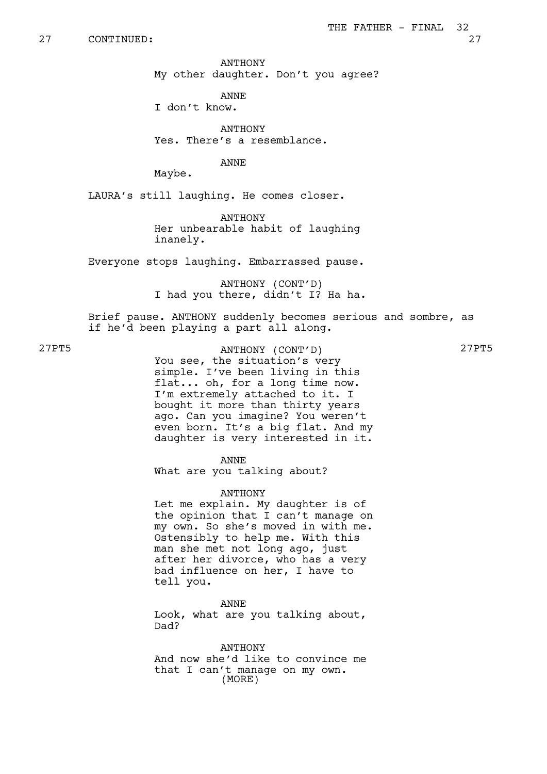ANTHONY My other daughter. Don't you agree?

ANNE I don't know.

**ANTHONY** Yes. There's a resemblance.

ANNE

Maybe.

LAURA's still laughing. He comes closer.

**ANTHONY** Her unbearable habit of laughing inanely.

Everyone stops laughing. Embarrassed pause.

ANTHONY (CONT'D) I had you there, didn't I? Ha ha.

Brief pause. ANTHONY suddenly becomes serious and sombre, as if he'd been playing a part all along.

27PT5 ANTHONY (CONT'D) 27PT5 You see, the situation's very simple. I've been living in this flat... oh, for a long time now. I'm extremely attached to it. I bought it more than thirty years ago. Can you imagine? You weren't even born. It's a big flat. And my daughter is very interested in it.

ANNE

What are you talking about?

ANTHONY

Let me explain. My daughter is of the opinion that I can't manage on my own. So she's moved in with me. Ostensibly to help me. With this man she met not long ago, just after her divorce, who has a very bad influence on her, I have to tell you.

ANNE Look, what are you talking about, Dad?

ANTHONY And now she'd like to convince me that I can't manage on my own. (MORE)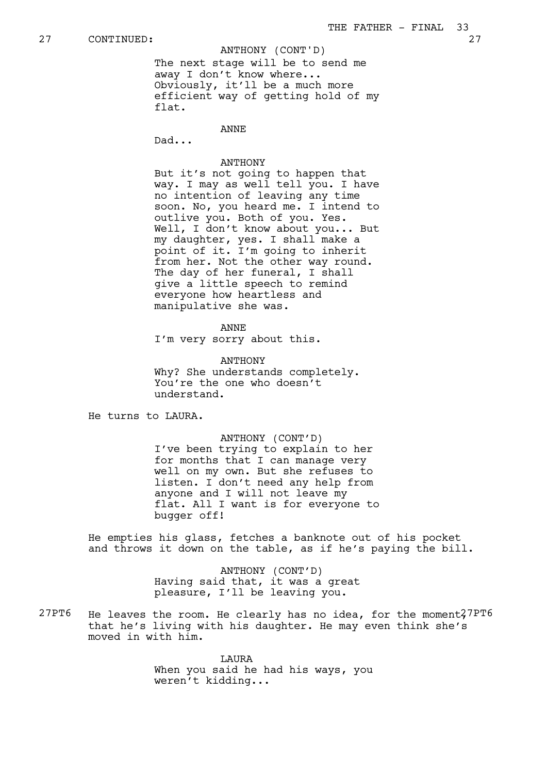ANTHONY (CONT'D)

The next stage will be to send me away I don't know where... Obviously, it'll be a much more efficient way of getting hold of my flat.

ANNE

Dad...

## ANTHONY

But it's not going to happen that way. I may as well tell you. I have no intention of leaving any time soon. No, you heard me. I intend to outlive you. Both of you. Yes. Well, I don't know about you... But my daughter, yes. I shall make a point of it. I'm going to inherit from her. Not the other way round. The day of her funeral, I shall give a little speech to remind everyone how heartless and manipulative she was.

ANNE I'm very sorry about this.

ANTHONY Why? She understands completely. You're the one who doesn't understand.

He turns to LAURA.

ANTHONY (CONT'D) I've been trying to explain to her for months that I can manage very well on my own. But she refuses to listen. I don't need any help from anyone and I will not leave my flat. All I want is for everyone to bugger off!

He empties his glass, fetches a banknote out of his pocket and throws it down on the table, as if he's paying the bill.

> ANTHONY (CONT'D) Having said that, it was a great pleasure, I'll be leaving you.

 $27PT6$  He leaves the room. He clearly has no idea, for the moment $27PT6$ that he's living with his daughter. He may even think she's moved in with him.

> LAURA When you said he had his ways, you weren't kidding...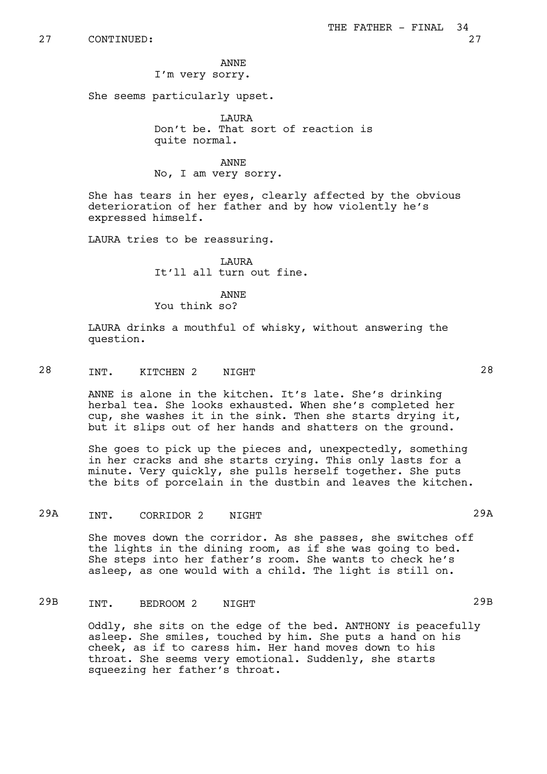## ANNE I'm very sorry.

She seems particularly upset.

**T.AIIRA** Don't be. That sort of reaction is quite normal.

ANNE No, I am very sorry.

She has tears in her eyes, clearly affected by the obvious deterioration of her father and by how violently he's expressed himself.

LAURA tries to be reassuring.

 $T \cdot \Delta T T R \Delta$ It'll all turn out fine.

ANNE You think so?

LAURA drinks a mouthful of whisky, without answering the question.

# 28 INT. KITCHEN 2 NIGHT 2008

ANNE is alone in the kitchen. It's late. She's drinking herbal tea. She looks exhausted. When she's completed her cup, she washes it in the sink. Then she starts drying it, but it slips out of her hands and shatters on the ground.

She goes to pick up the pieces and, unexpectedly, something in her cracks and she starts crying. This only lasts for a minute. Very quickly, she pulls herself together. She puts the bits of porcelain in the dustbin and leaves the kitchen.

# 29A INT. CORRIDOR 2 NIGHT 29A

She moves down the corridor. As she passes, she switches off the lights in the dining room, as if she was going to bed. She steps into her father's room. She wants to check he's asleep, as one would with a child. The light is still on.

# 29B INT. BEDROOM 2 NIGHT

Oddly, she sits on the edge of the bed. ANTHONY is peacefully asleep. She smiles, touched by him. She puts a hand on his cheek, as if to caress him. Her hand moves down to his throat. She seems very emotional. Suddenly, she starts squeezing her father's throat.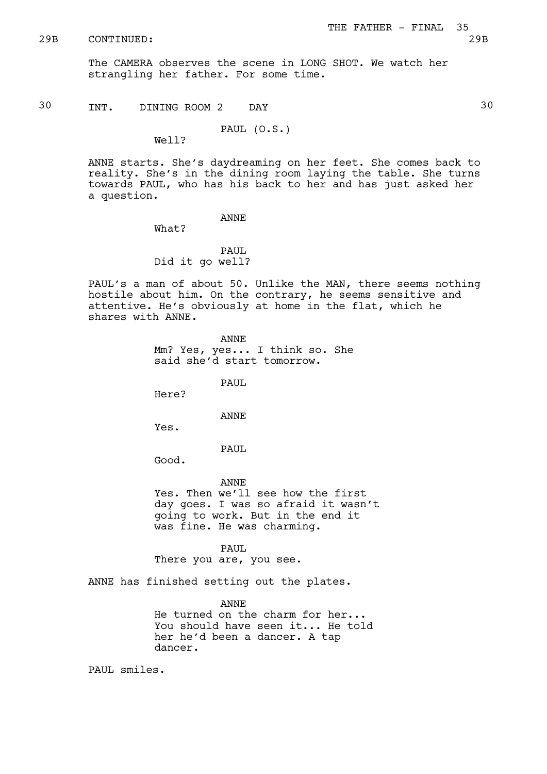The CAMERA observes the scene in LONG SHOT. We watch her strangling her father. For some time.

30 INT. DINING ROOM 2 DAY 30

PAUL (O.S.)

Well?

ANNE starts. She's daydreaming on her feet. She comes back to reality. She's in the dining room laying the table. She turns towards PAUL, who has his back to her and has just asked her a question.

ANNE

What?

PAUL Did it go well?

PAUL's a man of about 50. Unlike the MAN, there seems nothing hostile about him. On the contrary, he seems sensitive and attentive. He's obviously at home in the flat, which he shares with ANNE.

> ANNE Mm? Yes, yes... I think so. She said she'd start tomorrow.

> > PAUL

Here?

ANNE

Yes.

PAUL

Good.

ANNE

Yes. Then we'll see how the first day goes. I was so afraid it wasn't going to work. But in the end it was fine. He was charming.

PAUL There you are, you see.

ANNE has finished setting out the plates.

ANNE He turned on the charm for her... You should have seen it... He told her he'd been a dancer. A tap dancer.

PAUL smiles.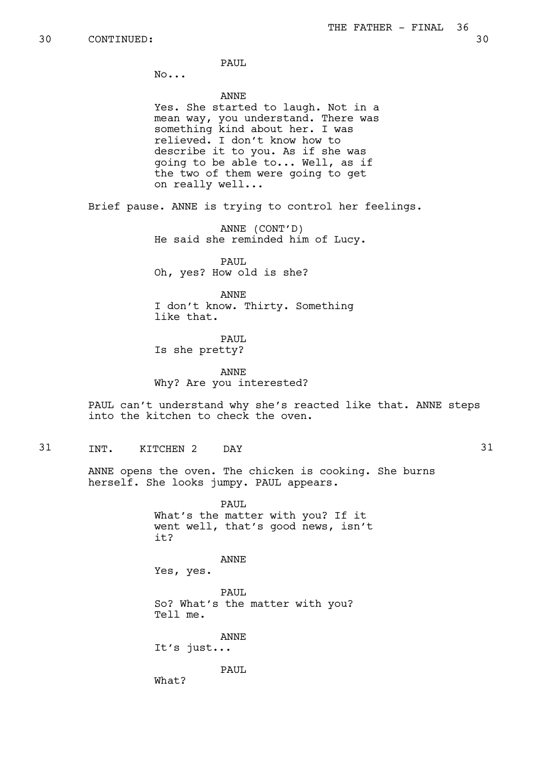PAUL.

No...

ANNE

Yes. She started to laugh. Not in a mean way, you understand. There was something kind about her. I was relieved. I don't know how to describe it to you. As if she was going to be able to... Well, as if the two of them were going to get on really well...

Brief pause. ANNE is trying to control her feelings.

ANNE (CONT'D) He said she reminded him of Lucy.

PAUL. Oh, yes? How old is she?

ANNE I don't know. Thirty. Something like that.

PAUL. Is she pretty?

ANNE Why? Are you interested?

PAUL can't understand why she's reacted like that. ANNE steps into the kitchen to check the oven.

31 INT. KITCHEN 2 DAY 31

ANNE opens the oven. The chicken is cooking. She burns herself. She looks jumpy. PAUL appears.

> PAUL What's the matter with you? If it went well, that's good news, isn't it?

> > ANNE

Yes, yes.

PAUL So? What's the matter with you? Tell me.

ANNE It's just...

PAUL

What?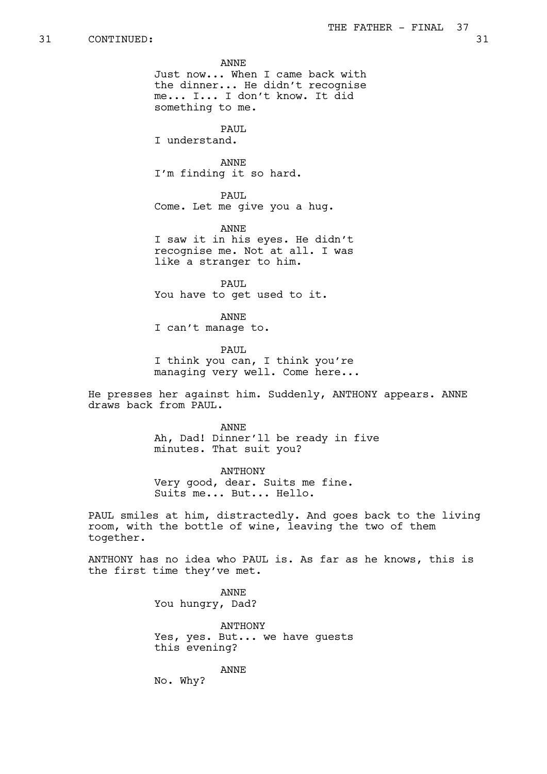ANNE

Just now... When I came back with the dinner... He didn't recognise me... I... I don't know. It did something to me.

PAUL. I understand.

ANNE I'm finding it so hard.

PAUL Come. Let me give you a hug.

ANNE I saw it in his eyes. He didn't recognise me. Not at all. I was like a stranger to him.

PAUL You have to get used to it.

ANNE

I can't manage to.

PAUL I think you can, I think you're managing very well. Come here...

He presses her against him. Suddenly, ANTHONY appears. ANNE draws back from PAUL.

> ANNE Ah, Dad! Dinner'll be ready in five minutes. That suit you?

ANTHONY Very good, dear. Suits me fine. Suits me... But... Hello.

PAUL smiles at him, distractedly. And goes back to the living room, with the bottle of wine, leaving the two of them together.

ANTHONY has no idea who PAUL is. As far as he knows, this is the first time they've met.

> ANNE You hungry, Dad?

ANTHONY Yes, yes. But... we have guests this evening?

ANNE

No. Why?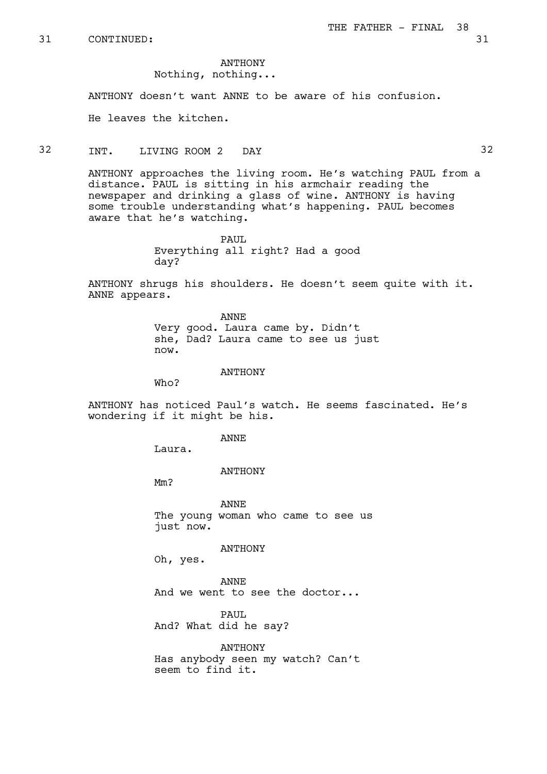ANTHONY

Nothing, nothing...

ANTHONY doesn't want ANNE to be aware of his confusion.

He leaves the kitchen.

## 32 INT. LIVING ROOM 2 DAY 32

ANTHONY approaches the living room. He's watching PAUL from a distance. PAUL is sitting in his armchair reading the newspaper and drinking a glass of wine. ANTHONY is having some trouble understanding what's happening. PAUL becomes aware that he's watching.

> PAUL. Everything all right? Had a good day?

ANTHONY shrugs his shoulders. He doesn't seem quite with it. ANNE appears.

> ANNE Very good. Laura came by. Didn't she, Dad? Laura came to see us just now.

> > ANTHONY

Who?

ANTHONY has noticed Paul's watch. He seems fascinated. He's wondering if it might be his.

ANNE

Laura.

### ANTHONY

Mm?

ANNE The young woman who came to see us just now.

ANTHONY

Oh, yes.

ANNE And we went to see the doctor...

PAUL And? What did he say?

ANTHONY Has anybody seen my watch? Can't seem to find it.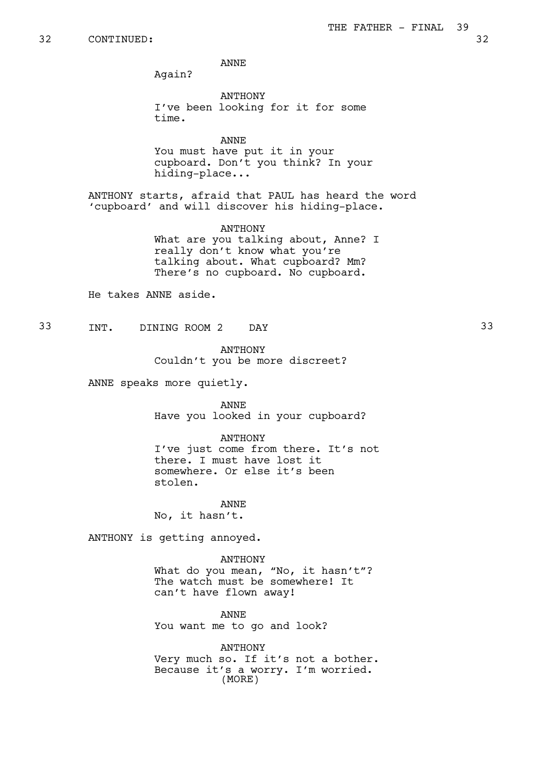ANNE

Again?

ANTHONY I've been looking for it for some time.

ANNE You must have put it in your cupboard. Don't you think? In your hiding-place...

ANTHONY starts, afraid that PAUL has heard the word 'cupboard' and will discover his hiding-place.

> ANTHONY What are you talking about, Anne? I really don't know what you're talking about. What cupboard? Mm? There's no cupboard. No cupboard.

He takes ANNE aside.

33 INT. DINING ROOM 2 DAY 33

ANTHONY

Couldn't you be more discreet?

ANNE speaks more quietly.

ANNE Have you looked in your cupboard?

ANTHONY I've just come from there. It's not there. I must have lost it somewhere. Or else it's been stolen.

### ANNE

No, it hasn't.

ANTHONY is getting annoyed.

ANTHONY

What do you mean, "No, it hasn't"? The watch must be somewhere! It can't have flown away!

ANNE You want me to go and look?

ANTHONY Very much so. If it's not a bother. Because it's a worry. I'm worried. (MORE)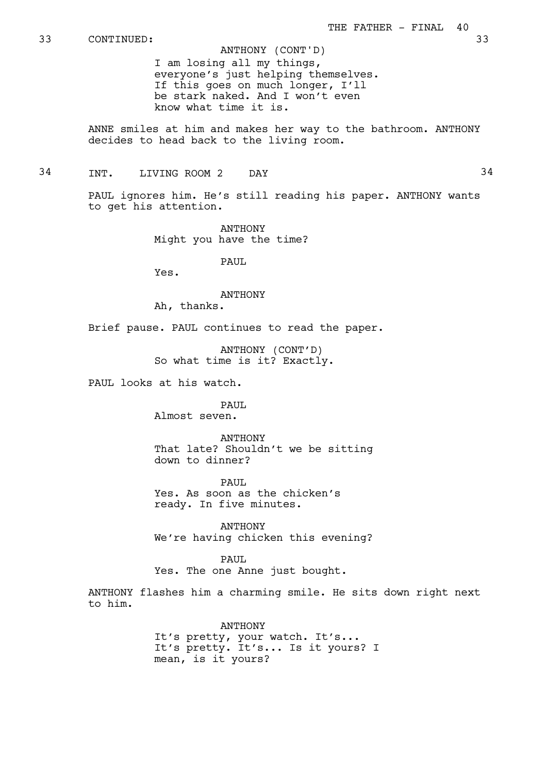33 CONTINUED: 33

I am losing all my things, everyone's just helping themselves. If this goes on much longer, I'll be stark naked. And I won't even know what time it is. ANTHONY (CONT'D)

ANNE smiles at him and makes her way to the bathroom. ANTHONY decides to head back to the living room.

34 TNT. LIVING ROOM 2 DAY 34

PAUL ignores him. He's still reading his paper. ANTHONY wants to get his attention.

> ANTHONY Might you have the time?

> > PAUL.

Yes.

**ANTHONY** Ah, thanks.

Brief pause. PAUL continues to read the paper.

ANTHONY (CONT'D) So what time is it? Exactly.

PAUL looks at his watch.

PAUL Almost seven.

ANTHONY That late? Shouldn't we be sitting down to dinner?

PAUL Yes. As soon as the chicken's ready. In five minutes.

ANTHONY We're having chicken this evening?

PAUL Yes. The one Anne just bought.

ANTHONY flashes him a charming smile. He sits down right next to him.

> ANTHONY It's pretty, your watch. It's... It's pretty. It's... Is it yours? I mean, is it yours?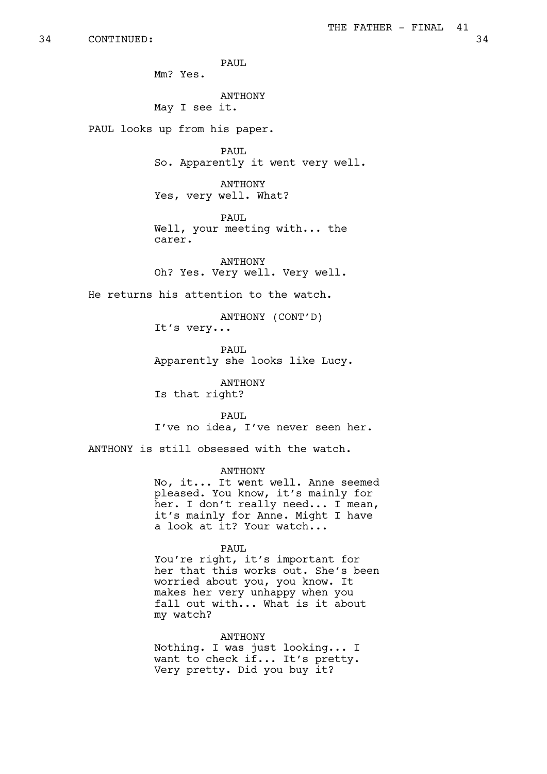PAUT. Mm? Yes. ANTHONY May I see it. PAUL looks up from his paper. PAUL So. Apparently it went very well. ANTHONY Yes, very well. What? PAUL Well, your meeting with... the carer. ANTHONY Oh? Yes. Very well. Very well. ANTHONY (CONT'D) It's very... PAUL ANTHONY Is that right? PAUL ANTHONY a look at it? Your watch... PAUL

He returns his attention to the watch.

Apparently she looks like Lucy.

I've no idea, I've never seen her.

ANTHONY is still obsessed with the watch.

No, it... It went well. Anne seemed pleased. You know, it's mainly for her. I don't really need... I mean, it's mainly for Anne. Might I have

You're right, it's important for her that this works out. She's been worried about you, you know. It makes her very unhappy when you fall out with... What is it about my watch?

## ANTHONY

Nothing. I was just looking... I want to check if... It's pretty. Very pretty. Did you buy it?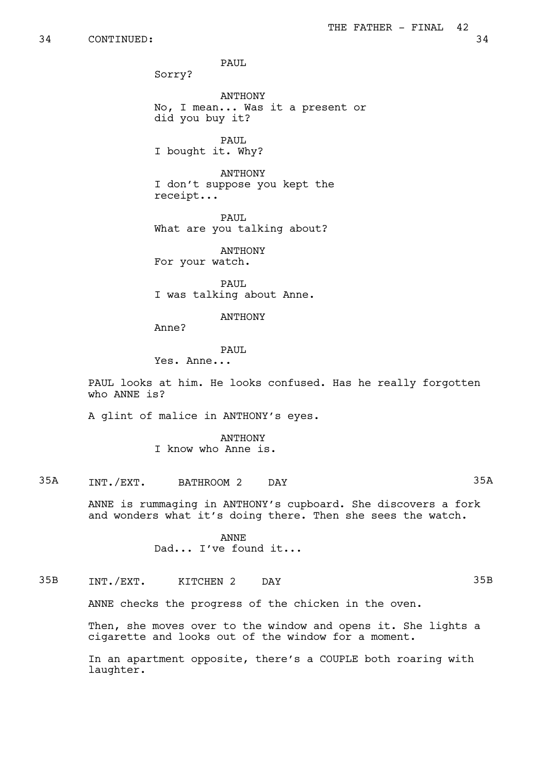PAUL.

Sorry?

ANTHONY No, I mean... Was it a present or did you buy it?

PAUL I bought it. Why?

ANTHONY I don't suppose you kept the receipt...

PAUL. What are you talking about?

**ANTHONY** For your watch.

PAUL I was talking about Anne.

## ANTHONY

Anne?

### PAUL

Yes. Anne...

PAUL looks at him. He looks confused. Has he really forgotten who ANNE is?

A glint of malice in ANTHONY's eyes.

ANTHONY I know who Anne is.

# 35A INT./EXT. BATHROOM 2 DAY 35A

ANNE is rummaging in ANTHONY's cupboard. She discovers a fork and wonders what it's doing there. Then she sees the watch.

> ANNE Dad... I've found it...

# 35B INT./EXT. KITCHEN 2 DAY 35B

ANNE checks the progress of the chicken in the oven.

Then, she moves over to the window and opens it. She lights a cigarette and looks out of the window for a moment.

In an apartment opposite, there's a COUPLE both roaring with laughter.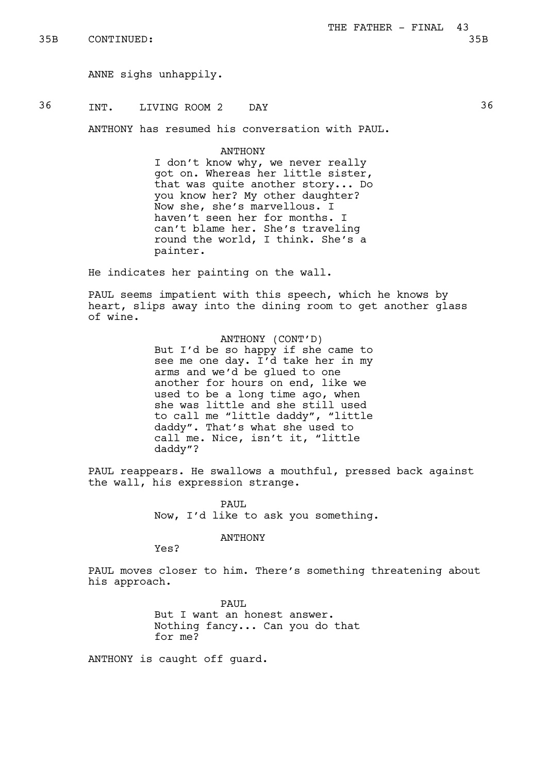ANNE sighs unhappily.

36 INT. LIVING ROOM 2 DAY 36

ANTHONY has resumed his conversation with PAUL.

**ANTHONY** 

I don't know why, we never really got on. Whereas her little sister, that was quite another story... Do you know her? My other daughter? Now she, she's marvellous. I haven't seen her for months. I can't blame her. She's traveling round the world, I think. She's a painter.

He indicates her painting on the wall.

PAUL seems impatient with this speech, which he knows by heart, slips away into the dining room to get another glass of wine.

## ANTHONY (CONT'D)

But I'd be so happy if she came to see me one day. I'd take her in my arms and we'd be glued to one another for hours on end, like we used to be a long time ago, when she was little and she still used to call me "little daddy", "little daddy". That's what she used to call me. Nice, isn't it, "little daddy"?

PAUL reappears. He swallows a mouthful, pressed back against the wall, his expression strange.

> PAUL Now, I'd like to ask you something.

> > ANTHONY

Yes?

PAUL moves closer to him. There's something threatening about his approach.

> PAUL But I want an honest answer. Nothing fancy... Can you do that for me?

ANTHONY is caught off guard.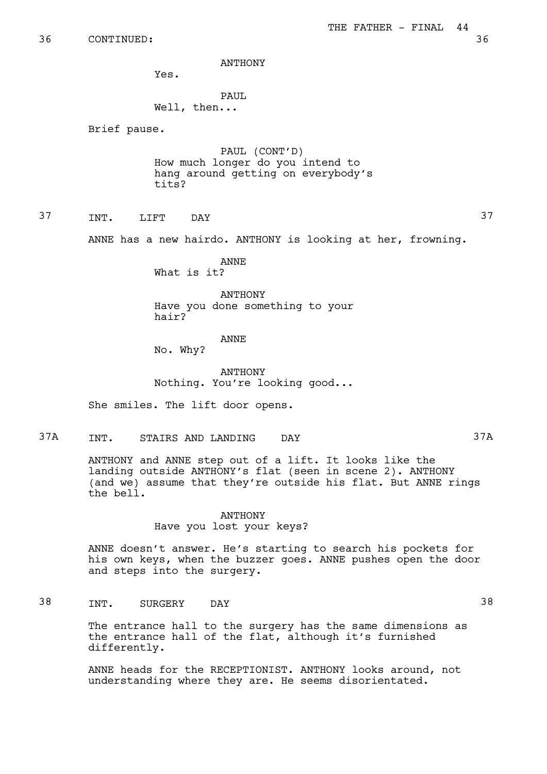ANTHONY

Yes.

## PAUL Well, then...

Brief pause.

PAUL (CONT'D) How much longer do you intend to hang around getting on everybody's tits?

37 INT. LIFT DAY 37

ANNE has a new hairdo. ANTHONY is looking at her, frowning.

ANNE What is it?

ANTHONY Have you done something to your hair?

## ANNE

No. Why?

ANTHONY Nothing. You're looking good...

She smiles. The lift door opens.

37A INT. STAIRS AND LANDING DAY 37A

ANTHONY and ANNE step out of a lift. It looks like the landing outside ANTHONY's flat (seen in scene 2). ANTHONY (and we) assume that they're outside his flat. But ANNE rings the bell.

## ANTHONY Have you lost your keys?

ANNE doesn't answer. He's starting to search his pockets for his own keys, when the buzzer goes. ANNE pushes open the door and steps into the surgery.

38 INT. SURGERY DAY 38

The entrance hall to the surgery has the same dimensions as the entrance hall of the flat, although it's furnished differently.

ANNE heads for the RECEPTIONIST. ANTHONY looks around, not understanding where they are. He seems disorientated.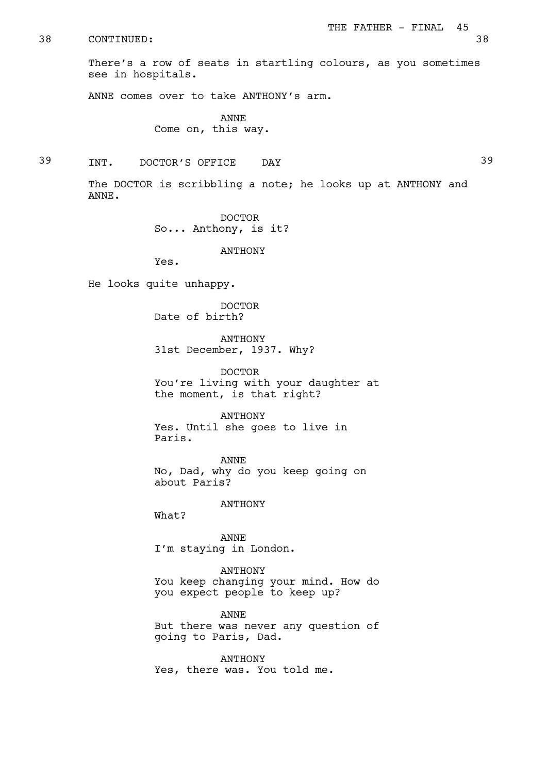There's a row of seats in startling colours, as you sometimes see in hospitals.

ANNE comes over to take ANTHONY's arm.

ANNE Come on, this way.

39 INT. DOCTOR'S OFFICE DAY 39

The DOCTOR is scribbling a note; he looks up at ANTHONY and ANNE.

> DOCTOR So... Anthony, is it?

> > ANTHONY

Yes.

He looks quite unhappy.

DOCTOR Date of birth?

ANTHONY 31st December, 1937. Why?

DOCTOR You're living with your daughter at the moment, is that right?

ANTHONY Yes. Until she goes to live in Paris.

ANNE No, Dad, why do you keep going on about Paris?

ANTHONY

What?

ANNE I'm staying in London.

ANTHONY You keep changing your mind. How do you expect people to keep up?

ANNE But there was never any question of going to Paris, Dad.

ANTHONY Yes, there was. You told me.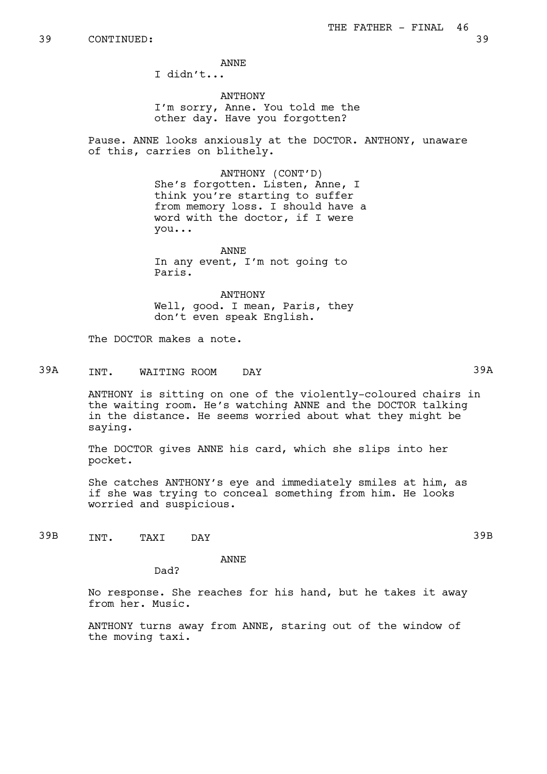ANNE

I didn't...

ANTHONY I'm sorry, Anne. You told me the other day. Have you forgotten?

Pause. ANNE looks anxiously at the DOCTOR. ANTHONY, unaware of this, carries on blithely.

> ANTHONY (CONT'D) She's forgotten. Listen, Anne, I think you're starting to suffer from memory loss. I should have a word with the doctor, if I were you...

ANNE In any event, I'm not going to Paris.

ANTHONY Well, good. I mean, Paris, they don't even speak English.

The DOCTOR makes a note.

# 39A INT. WAITING ROOM DAY 39A

ANTHONY is sitting on one of the violently-coloured chairs in the waiting room. He's watching ANNE and the DOCTOR talking in the distance. He seems worried about what they might be saying.

The DOCTOR gives ANNE his card, which she slips into her pocket.

She catches ANTHONY's eye and immediately smiles at him, as if she was trying to conceal something from him. He looks worried and suspicious.

39B INT. TAXI DAY 39B

ANNE

Dad?

No response. She reaches for his hand, but he takes it away from her. Music.

ANTHONY turns away from ANNE, staring out of the window of the moving taxi.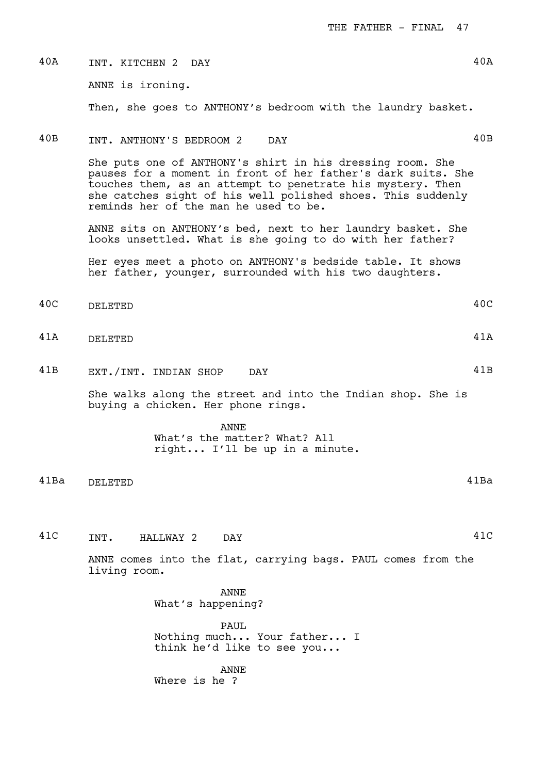| 40A  | INT. KITCHEN 2 DAY                                                                                                                                                                                                                                                                              | 40A  |
|------|-------------------------------------------------------------------------------------------------------------------------------------------------------------------------------------------------------------------------------------------------------------------------------------------------|------|
|      | ANNE is ironing.                                                                                                                                                                                                                                                                                |      |
|      | Then, she goes to ANTHONY's bedroom with the laundry basket.                                                                                                                                                                                                                                    |      |
| 40B  | INT. ANTHONY'S BEDROOM 2<br>DAY                                                                                                                                                                                                                                                                 | 40B  |
|      | She puts one of ANTHONY's shirt in his dressing room. She<br>pauses for a moment in front of her father's dark suits. She<br>touches them, as an attempt to penetrate his mystery. Then<br>she catches sight of his well polished shoes. This suddenly<br>reminds her of the man he used to be. |      |
|      | ANNE sits on ANTHONY's bed, next to her laundry basket. She<br>looks unsettled. What is she going to do with her father?                                                                                                                                                                        |      |
|      | Her eyes meet a photo on ANTHONY's bedside table. It shows<br>her father, younger, surrounded with his two daughters.                                                                                                                                                                           |      |
| 40C  | DELETED                                                                                                                                                                                                                                                                                         | 40C  |
| 41A  | DELETED                                                                                                                                                                                                                                                                                         | 41A  |
| 41B  | EXT./INT. INDIAN SHOP<br>DAY                                                                                                                                                                                                                                                                    | 41B  |
|      | She walks along the street and into the Indian shop. She is<br>buying a chicken. Her phone rings.                                                                                                                                                                                               |      |
|      | <b>ANNE</b><br>What's the matter? What? All<br>right I'll be up in a minute.                                                                                                                                                                                                                    |      |
| 41Ba | DELETED                                                                                                                                                                                                                                                                                         | 41Ba |
|      |                                                                                                                                                                                                                                                                                                 |      |
| 41C  | INT.<br>HALLWAY 2 DAY                                                                                                                                                                                                                                                                           | 41C  |
|      | ANNE comes into the flat, carrying bags. PAUL comes from the<br>living room.                                                                                                                                                                                                                    |      |
|      | <b>ANNE</b><br>What's happening?                                                                                                                                                                                                                                                                |      |
|      | <b>PAUL</b><br>Nothing much Your father I<br>think he'd like to see you                                                                                                                                                                                                                         |      |
|      | <b>ANNE</b><br>Where is he ?                                                                                                                                                                                                                                                                    |      |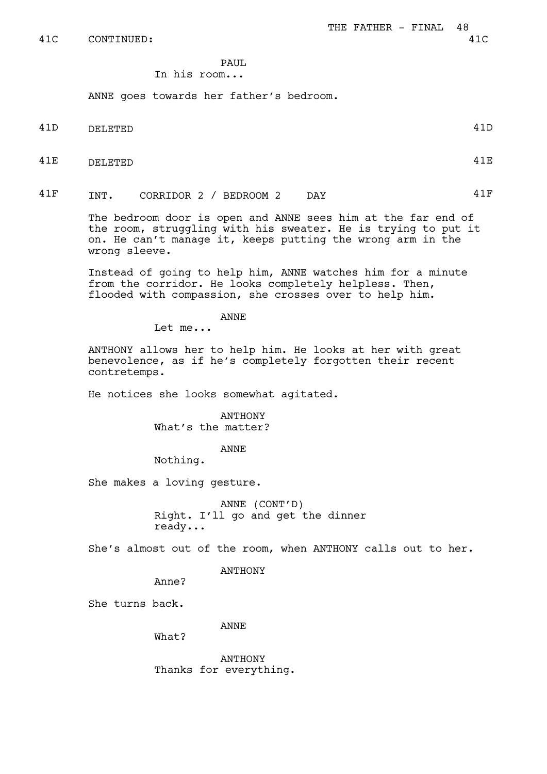# PAUL.

# In his room...

ANNE goes towards her father's bedroom.

- 41D DELETED 41D
- 41E DELETED 41E
- 41F INT. CORRIDOR 2 / BEDROOM 2 DAY 41F

The bedroom door is open and ANNE sees him at the far end of the room, struggling with his sweater. He is trying to put it on. He can't manage it, keeps putting the wrong arm in the wrong sleeve.

Instead of going to help him, ANNE watches him for a minute from the corridor. He looks completely helpless. Then, flooded with compassion, she crosses over to help him.

ANNE

Let me...

ANTHONY allows her to help him. He looks at her with great benevolence, as if he's completely forgotten their recent contretemps.

He notices she looks somewhat agitated.

ANTHONY What's the matter?

ANNE

Nothing.

She makes a loving gesture.

ANNE (CONT'D) Right. I'll go and get the dinner ready...

She's almost out of the room, when ANTHONY calls out to her.

ANTHONY

Anne?

She turns back.

ANNE

What?

ANTHONY Thanks for everything.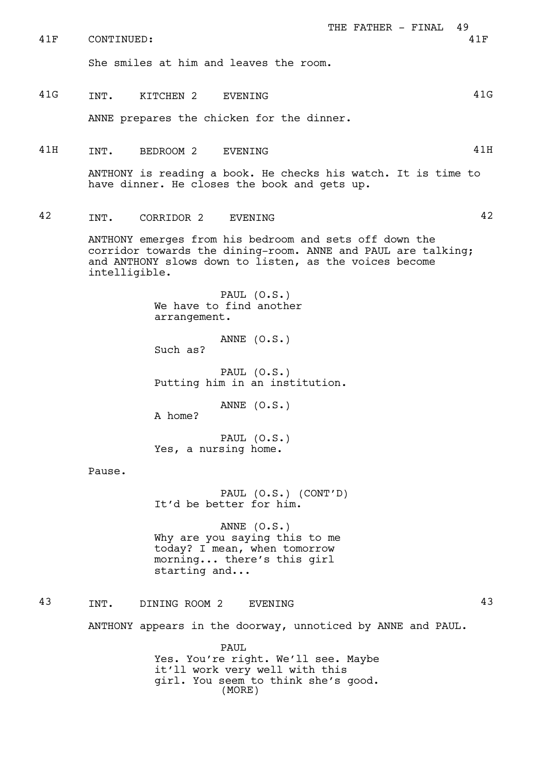| 41F | THE FATHER - FINAL<br>49<br>CONTINUED:<br>41F                                                                                                                                                     |
|-----|---------------------------------------------------------------------------------------------------------------------------------------------------------------------------------------------------|
|     | She smiles at him and leaves the room.                                                                                                                                                            |
| 41G | 41G<br>INT.<br>KITCHEN 2<br>EVENING                                                                                                                                                               |
|     | ANNE prepares the chicken for the dinner.                                                                                                                                                         |
| 41H | 41H<br>INT.<br>BEDROOM 2<br>EVENING                                                                                                                                                               |
|     | ANTHONY is reading a book. He checks his watch. It is time to<br>have dinner. He closes the book and gets up.                                                                                     |
| 42  | 42<br>INT.<br>CORRIDOR 2<br>EVENING                                                                                                                                                               |
|     | ANTHONY emerges from his bedroom and sets off down the<br>corridor towards the dining-room. ANNE and PAUL are talking;<br>and ANTHONY slows down to listen, as the voices become<br>intelligible. |
|     | PAUL $(0.S.)$<br>We have to find another<br>arrangement.                                                                                                                                          |
|     | ANNE $(0.S.)$<br>Such as?                                                                                                                                                                         |
|     | PAUL $(0.S.)$<br>Putting him in an institution.                                                                                                                                                   |
|     | ANNE $(0.S.)$<br>A home?                                                                                                                                                                          |
|     | PAUL $(0.S.)$<br>Yes, a nursing home.                                                                                                                                                             |
|     | Pause.                                                                                                                                                                                            |
|     | PAUL (O.S.) (CONT'D)<br>It'd be better for him.                                                                                                                                                   |
|     | ANNE $(0.S.)$<br>Why are you saying this to me<br>today? I mean, when tomorrow<br>morning there's this girl<br>starting and                                                                       |
| 43  | 43<br>INT.<br>DINING ROOM 2<br>EVENING                                                                                                                                                            |
|     | ANTHONY appears in the doorway, unnoticed by ANNE and PAUL.                                                                                                                                       |
|     | <b>PAUL</b><br>Yes. You're right. We'll see. Maybe<br>it'll work very well with this<br>girl. You seem to think she's good.<br>(MORE)                                                             |
|     |                                                                                                                                                                                                   |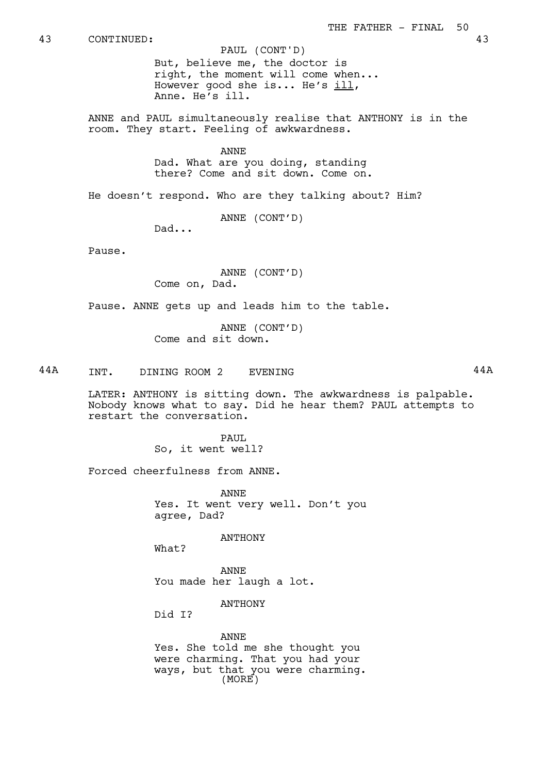PAUL (CONT'D)

But, believe me, the doctor is right, the moment will come when... However good she is... He's  $i11$ , Anne. He's ill.

ANNE and PAUL simultaneously realise that ANTHONY is in the room. They start. Feeling of awkwardness.

> ANNE Dad. What are you doing, standing there? Come and sit down. Come on.

He doesn't respond. Who are they talking about? Him?

ANNE (CONT'D)

Dad...

Pause.

ANNE (CONT'D) Come on, Dad.

Pause. ANNE gets up and leads him to the table.

ANNE (CONT'D) Come and sit down.

44A INT. DINING ROOM 2 EVENING 44A

LATER: ANTHONY is sitting down. The awkwardness is palpable. Nobody knows what to say. Did he hear them? PAUL attempts to restart the conversation.

> PAUL So, it went well?

Forced cheerfulness from ANNE.

ANNE Yes. It went very well. Don't you agree, Dad?

ANTHONY

What?

ANNE You made her laugh a lot.

ANTHONY

Did I?

ANNE Yes. She told me she thought you were charming. That you had your ways, but that you were charming. (MORE)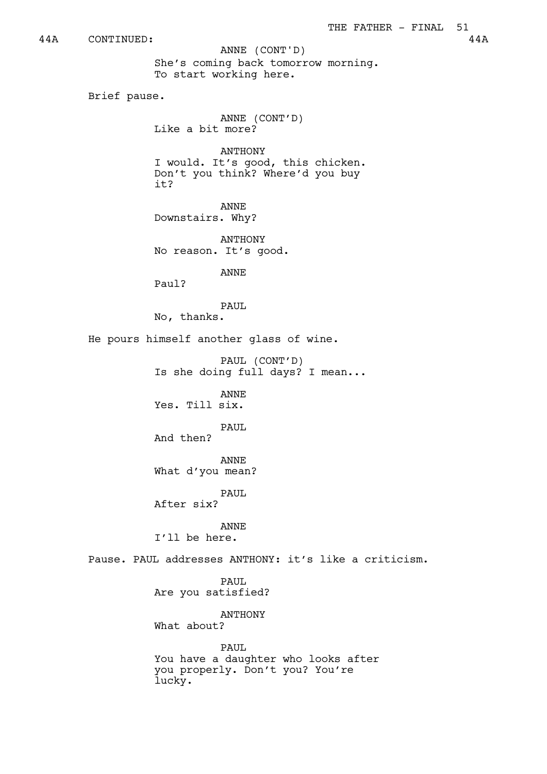44A CONTINUED: 44A

ANNE (CONT'D)

She's coming back tomorrow morning. To start working here.

Brief pause.

ANNE (CONT'D) Like a bit more?

ANTHONY I would. It's good, this chicken. Don't you think? Where'd you buy it?

ANNE Downstairs. Why?

ANTHONY No reason. It's good.

ANNE

Paul?

PAUL

No, thanks.

He pours himself another glass of wine.

PAUL (CONT'D) Is she doing full days? I mean...

ANNE Yes. Till six.

PAUL And then?

ANNE

What d'you mean?

PAUL

After six?

ANNE I'll be here.

Pause. PAUL addresses ANTHONY: it's like a criticism.

PAUL Are you satisfied?

ANTHONY What about?

PAUL You have a daughter who looks after you properly. Don't you? You're lucky.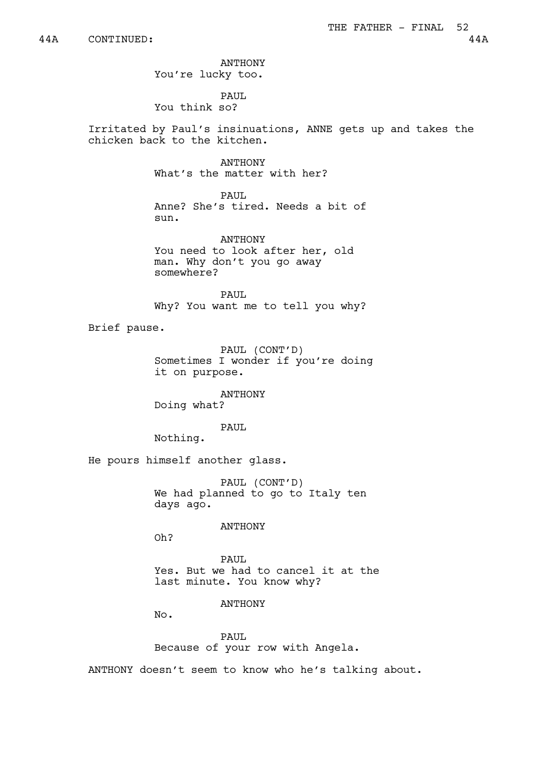ANTHONY You're lucky too.

PAUL You think so?

Irritated by Paul's insinuations, ANNE gets up and takes the chicken back to the kitchen.

> ANTHONY What's the matter with her?

PAUL Anne? She's tired. Needs a bit of sun.

ANTHONY You need to look after her, old man. Why don't you go away somewhere?

PAUL. Why? You want me to tell you why?

Brief pause.

PAUL (CONT'D) Sometimes I wonder if you're doing it on purpose.

ANTHONY Doing what?

PAUL

Nothing.

He pours himself another glass.

PAUL (CONT'D) We had planned to go to Italy ten days ago.

ANTHONY

Oh?

PAUL Yes. But we had to cancel it at the last minute. You know why?

ANTHONY

No.

PAUL Because of your row with Angela.

ANTHONY doesn't seem to know who he's talking about.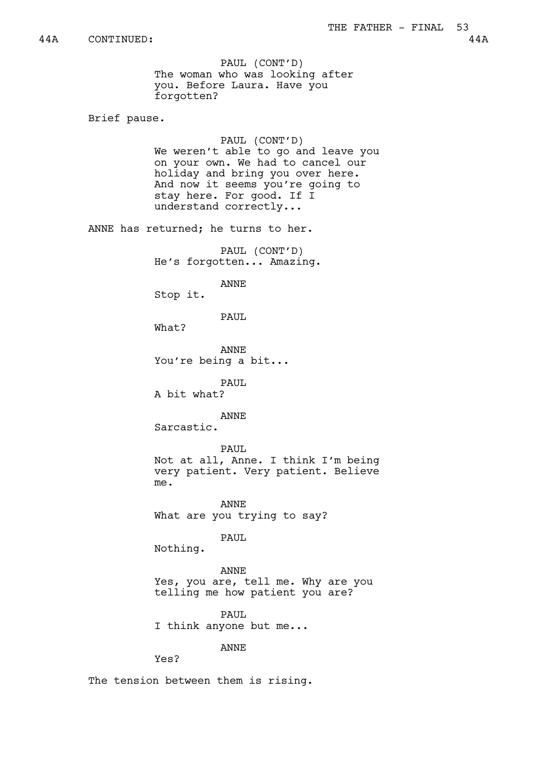PAUL (CONT'D) The woman who was looking after you. Before Laura. Have you forgotten?

Brief pause.

PAUL (CONT'D) We weren't able to go and leave you on your own. We had to cancel our holiday and bring you over here. And now it seems you're going to stay here. For good. If I understand correctly...

ANNE has returned; he turns to her.

PAUL (CONT'D) He's forgotten... Amazing.

ANNE

Stop it.

PAUL

What?

ANNE You're being a bit...

PAUL A bit what?

ANNE

Sarcastic.

PAUL Not at all, Anne. I think I'm being very patient. Very patient. Believe me.

ANNE What are you trying to say?

PAUL

Nothing.

ANNE Yes, you are, tell me. Why are you telling me how patient you are?

PAUL I think anyone but me...

ANNE

Yes?

The tension between them is rising.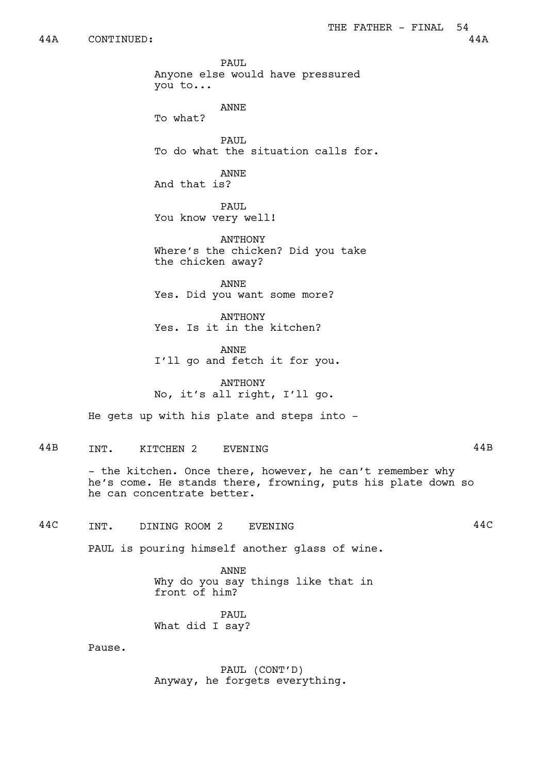PAUL. Anyone else would have pressured you to... ANNE To what? PAIIT. To do what the situation calls for. ANNE And that is? PAUL You know very well! ANTHONY Where's the chicken? Did you take the chicken away? ANNE Yes. Did you want some more? ANTHONY Yes. Is it in the kitchen? ANNE I'll go and fetch it for you. ANTHONY No, it's all right, I'll go. He gets up with his plate and steps into -44B INT. KITCHEN 2 EVENING 44B - the kitchen. Once there, however, he can't remember why he's come. He stands there, frowning, puts his plate down so he can concentrate better. 44C INT. DINING ROOM 2 EVENING 44C PAUL is pouring himself another glass of wine. ANNE Why do you say things like that in front of him? PAUL What did I say? Pause. PAUL (CONT'D) Anyway, he forgets everything.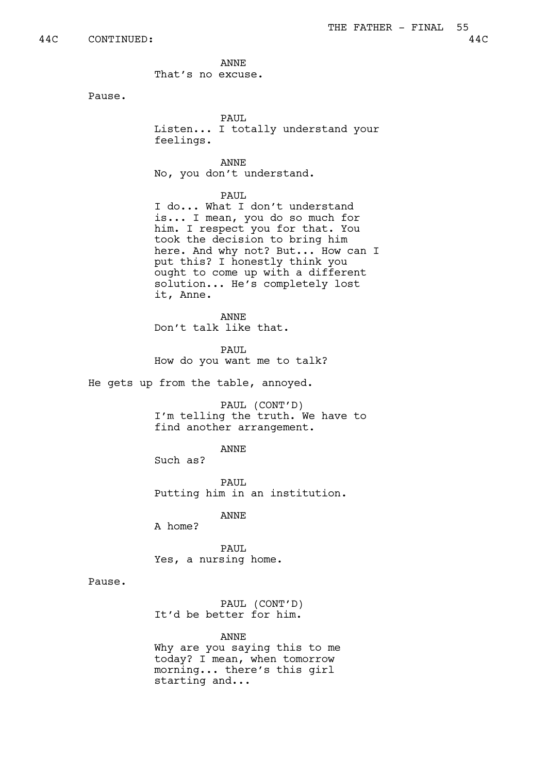ANNE That's no excuse.

Pause.

PAUL. Listen... I totally understand your feelings.

ANNE No, you don't understand.

PAUL

I do... What I don't understand is... I mean, you do so much for him. I respect you for that. You took the decision to bring him here. And why not? But... How can I put this? I honestly think you ought to come up with a different solution... He's completely lost it, Anne.

ANNE Don't talk like that.

PAUL How do you want me to talk?

He gets up from the table, annoyed.

PAUL (CONT'D) I'm telling the truth. We have to find another arrangement.

ANNE

Such as?

PAUL Putting him in an institution.

ANNE

A home?

PAUL Yes, a nursing home.

Pause.

PAUL (CONT'D) It'd be better for him.

ANNE

Why are you saying this to me today? I mean, when tomorrow morning... there's this girl starting and...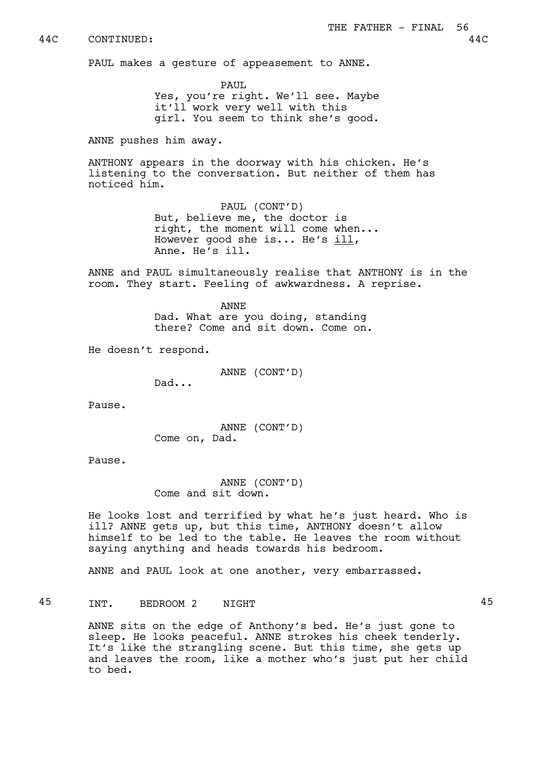PAUL makes a gesture of appeasement to ANNE.

PAUL Yes, you're right. We'll see. Maybe it'll work very well with this girl. You seem to think she's good.

ANNE pushes him away.

ANTHONY appears in the doorway with his chicken. He's listening to the conversation. But neither of them has noticed him.

> PAUL (CONT'D) But, believe me, the doctor is right, the moment will come when... However good she is... He's ill, Anne. He's ill.

ANNE and PAUL simultaneously realise that ANTHONY is in the room. They start. Feeling of awkwardness. A reprise.

> ANNE Dad. What are you doing, standing there? Come and sit down. Come on.

He doesn't respond.

ANNE (CONT'D)

Dad...

Pause.

ANNE (CONT'D) Come on, Dad.

Pause.

ANNE (CONT'D) Come and sit down.

He looks lost and terrified by what he's just heard. Who is ill? ANNE gets up, but this time, ANTHONY doesn't allow himself to be led to the table. He leaves the room without saying anything and heads towards his bedroom.

ANNE and PAUL look at one another, very embarrassed.

45 INT. BEDROOM 2 NIGHT 45

ANNE sits on the edge of Anthony's bed. He's just gone to sleep. He looks peaceful. ANNE strokes his cheek tenderly. It's like the strangling scene. But this time, she gets up and leaves the room, like a mother who's just put her child to bed.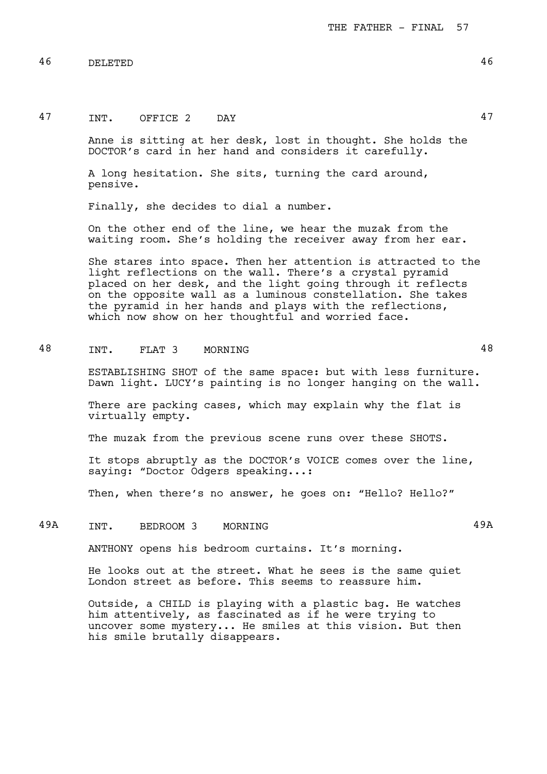46 DELETED 46

# 47 INT. OFFICE 2 DAY 47

Anne is sitting at her desk, lost in thought. She holds the DOCTOR's card in her hand and considers it carefully.

A long hesitation. She sits, turning the card around, pensive.

Finally, she decides to dial a number.

On the other end of the line, we hear the muzak from the waiting room. She's holding the receiver away from her ear.

She stares into space. Then her attention is attracted to the light reflections on the wall. There's a crystal pyramid placed on her desk, and the light going through it reflects on the opposite wall as a luminous constellation. She takes the pyramid in her hands and plays with the reflections, which now show on her thoughtful and worried face.

# 48 INT. FLAT 3 MORNING 48

ESTABLISHING SHOT of the same space: but with less furniture. Dawn light. LUCY's painting is no longer hanging on the wall.

There are packing cases, which may explain why the flat is virtually empty.

The muzak from the previous scene runs over these SHOTS.

It stops abruptly as the DOCTOR's VOICE comes over the line, saying: "Doctor Odgers speaking...:

Then, when there's no answer, he goes on: "Hello? Hello?"

# 49A INT. BEDROOM 3 MORNING 198

ANTHONY opens his bedroom curtains. It's morning.

He looks out at the street. What he sees is the same quiet London street as before. This seems to reassure him.

Outside, a CHILD is playing with a plastic bag. He watches him attentively, as fascinated as if he were trying to uncover some mystery... He smiles at this vision. But then his smile brutally disappears.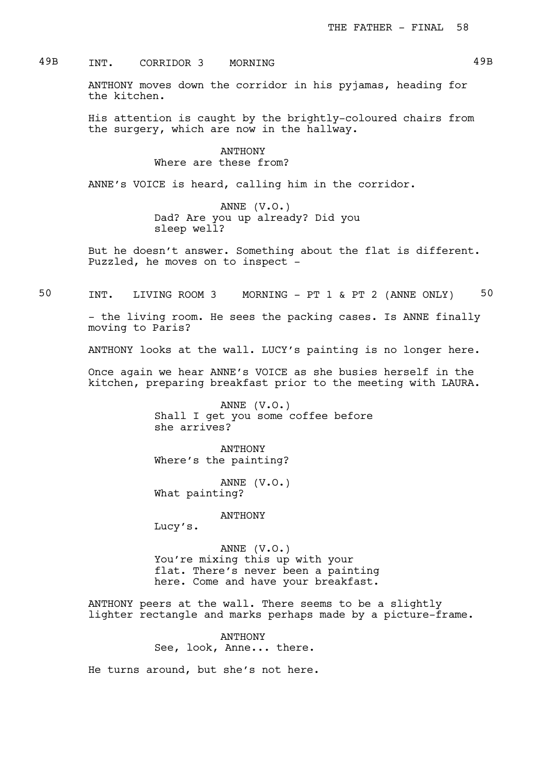## 49B INT. CORRIDOR 3 MORNING 49B

ANTHONY moves down the corridor in his pyjamas, heading for the kitchen.

His attention is caught by the brightly-coloured chairs from the surgery, which are now in the hallway.

> ANTHONY Where are these from?

ANNE's VOICE is heard, calling him in the corridor.

ANNE (V.O.) Dad? Are you up already? Did you sleep well?

But he doesn't answer. Something about the flat is different. Puzzled, he moves on to inspect -

50 INT. LIVING ROOM 3 MORNING - PT 1 & PT 2 (ANNE ONLY) 50

- the living room. He sees the packing cases. Is ANNE finally moving to Paris?

ANTHONY looks at the wall. LUCY's painting is no longer here.

Once again we hear ANNE's VOICE as she busies herself in the kitchen, preparing breakfast prior to the meeting with LAURA.

> ANNE (V.O.) Shall I get you some coffee before she arrives?

ANTHONY Where's the painting?

ANNE (V.O.) What painting?

ANTHONY

Lucy's.

ANNE (V.O.) You're mixing this up with your flat. There's never been a painting here. Come and have your breakfast.

ANTHONY peers at the wall. There seems to be a slightly lighter rectangle and marks perhaps made by a picture-frame.

> ANTHONY See, look, Anne... there.

He turns around, but she's not here.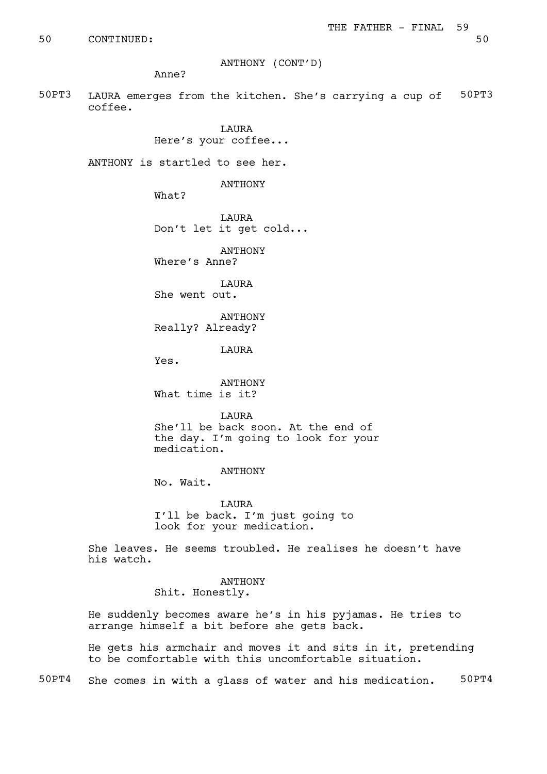50 CONTINUED: 50

ANTHONY (CONT'D)

Anne?

50PT3 LAURA emerges from the kitchen. She's carrying a cup of 50PT3 coffee.

> **TAURA** Here's your coffee...

ANTHONY is startled to see her.

ANTHONY

What?

**TAURA** Don't let it get cold...

ANTHONY Where's Anne?

**TAURA** She went out.

ANTHONY Really? Already?

LAURA

Yes.

ANTHONY What time is it?

LAURA She'll be back soon. At the end of the day. I'm going to look for your medication.

### ANTHONY

No. Wait.

LAURA I'll be back. I'm just going to look for your medication.

She leaves. He seems troubled. He realises he doesn't have his watch.

> ANTHONY Shit. Honestly.

He suddenly becomes aware he's in his pyjamas. He tries to arrange himself a bit before she gets back.

He gets his armchair and moves it and sits in it, pretending to be comfortable with this uncomfortable situation.

50PT4 She comes in with a glass of water and his medication. 50PT4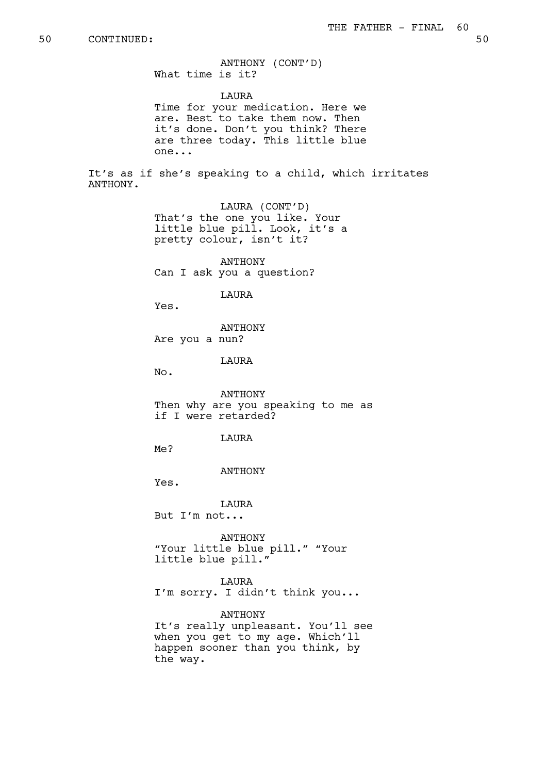ANTHONY (CONT'D) What time is it?

LAURA Time for your medication. Here we are. Best to take them now. Then it's done. Don't you think? There are three today. This little blue one...

It's as if she's speaking to a child, which irritates ANTHONY.

> LAURA (CONT'D) That's the one you like. Your little blue pill. Look, it's a pretty colour, isn't it?

ANTHONY Can I ask you a question?

**T.AURA** 

Yes.

ANTHONY Are you a nun?

LAURA

No.

ANTHONY Then why are you speaking to me as if I were retarded?

LAURA

Me?

ANTHONY

Yes.

LAURA

But I'm not...

ANTHONY "Your little blue pill." "Your little blue pill."

LAURA I'm sorry. I didn't think you...

ANTHONY It's really unpleasant. You'll see when you get to my age. Which'll happen sooner than you think, by the way.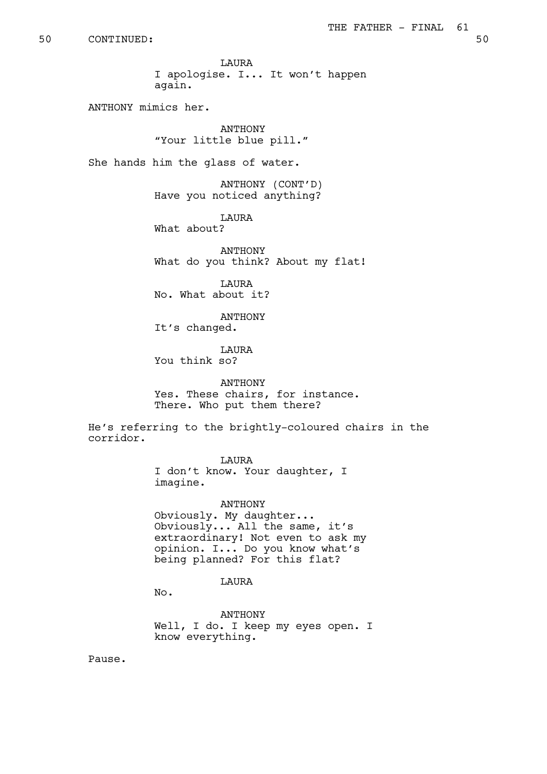LAURA I apologise. I... It won't happen again.

ANTHONY mimics her.

**ANTHONY** "Your little blue pill."

She hands him the glass of water.

ANTHONY (CONT'D) Have you noticed anything?

**T.AURA** What about?

ANTHONY What do you think? About my flat!

**T.AURA** No. What about it?

ANTHONY

It's changed.

LAURA You think so?

ANTHONY Yes. These chairs, for instance. There. Who put them there?

He's referring to the brightly-coloured chairs in the corridor.

LAURA

I don't know. Your daughter, I imagine.

ANTHONY Obviously. My daughter... Obviously... All the same, it's extraordinary! Not even to ask my opinion. I... Do you know what's being planned? For this flat?

LAURA

No.

ANTHONY Well, I do. I keep my eyes open. I know everything.

Pause.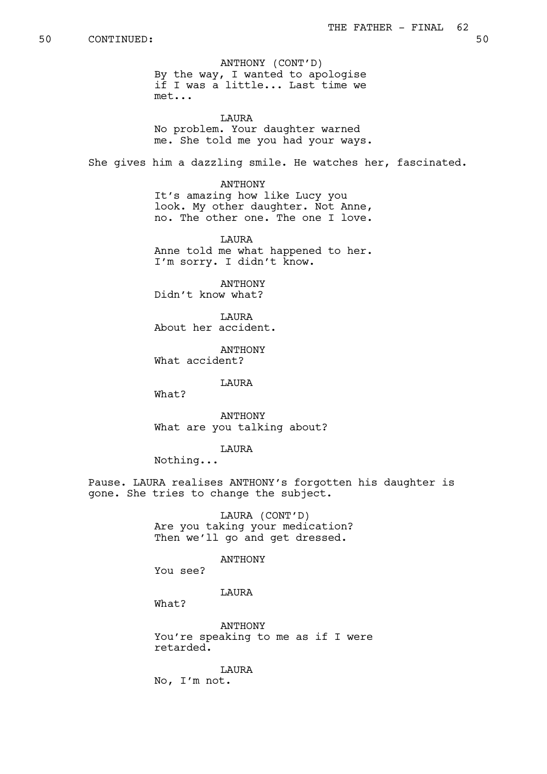ANTHONY (CONT'D) By the way, I wanted to apologise if I was a little... Last time we met...

**TAURA** No problem. Your daughter warned me. She told me you had your ways.

She gives him a dazzling smile. He watches her, fascinated.

ANTHONY It's amazing how like Lucy you look. My other daughter. Not Anne, no. The other one. The one I love.

**TAURA** Anne told me what happened to her. I'm sorry. I didn't know.

ANTHONY Didn't know what?

LAURA About her accident.

ANTHONY What accident?

LAURA

What?

ANTHONY What are you talking about?

LAURA

Nothing...

Pause. LAURA realises ANTHONY's forgotten his daughter is gone. She tries to change the subject.

> LAURA (CONT'D) Are you taking your medication? Then we'll go and get dressed.

### ANTHONY

You see?

### LAURA

What?

ANTHONY You're speaking to me as if I were retarded.

LAURA No, I'm not.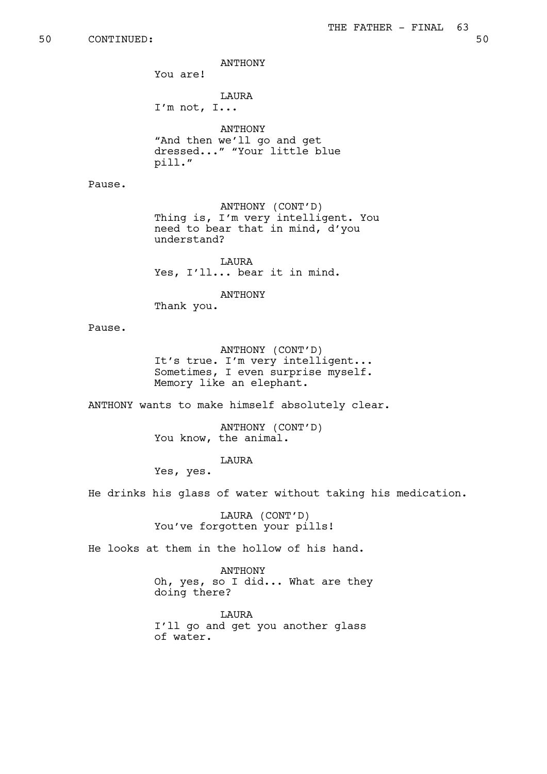ANTHONY

You are!

LAURA I'm not, I...

ANTHONY "And then we'll go and get dressed..." "Your little blue pill."

Pause.

ANTHONY (CONT'D) Thing is, I'm very intelligent. You need to bear that in mind, d'you understand?

**TAURA** Yes, I'll... bear it in mind.

ANTHONY

Thank you.

Pause.

ANTHONY (CONT'D) It's true. I'm very intelligent... Sometimes, I even surprise myself. Memory like an elephant.

ANTHONY wants to make himself absolutely clear.

ANTHONY (CONT'D) You know, the animal.

LAURA

Yes, yes.

He drinks his glass of water without taking his medication.

LAURA (CONT'D) You've forgotten your pills!

He looks at them in the hollow of his hand.

ANTHONY Oh, yes, so I did... What are they doing there?

LAURA I'll go and get you another glass of water.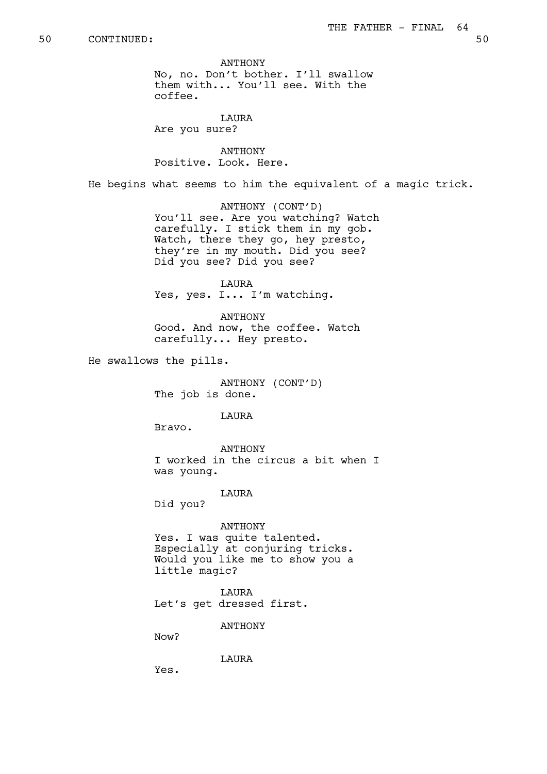ANTHONY No, no. Don't bother. I'll swallow them with... You'll see. With the coffee.

**TAURA** Are you sure?

ANTHONY Positive. Look. Here.

He begins what seems to him the equivalent of a magic trick.

ANTHONY (CONT'D) You'll see. Are you watching? Watch carefully. I stick them in my gob. Watch, there they go, hey presto, they're in my mouth. Did you see? Did you see? Did you see?

LAURA Yes, yes. I... I'm watching.

ANTHONY Good. And now, the coffee. Watch carefully... Hey presto.

He swallows the pills.

ANTHONY (CONT'D) The job is done.

LAURA

Bravo.

ANTHONY I worked in the circus a bit when I was young.

LAURA

Did you?

ANTHONY Yes. I was quite talented. Especially at conjuring tricks. Would you like me to show you a little magic?

LAURA Let's get dressed first.

ANTHONY

Now?

LAURA

Yes.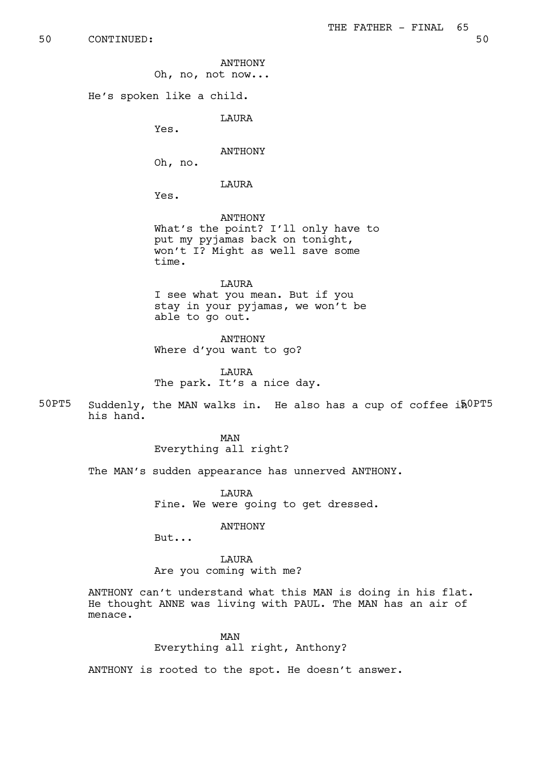ANTHONY

Oh, no, not now...

He's spoken like a child.

LAURA

Yes.

ANTHONY

Oh, no.

LAURA

Yes.

ANTHONY What's the point? I'll only have to put my pyjamas back on tonight, won't I? Might as well save some time.

LAURA I see what you mean. But if you stay in your pyjamas, we won't be able to go out.

ANTHONY Where d'you want to go?

LAURA The park. It's a nice day.

50PT5 Suddenly, the MAN walks in. He also has a cup of coffee  $i\hbar^{0P}T^5$ his hand.

> MAN Everything all right?

The MAN's sudden appearance has unnerved ANTHONY.

LAURA Fine. We were going to get dressed.

ANTHONY

But...

LAURA Are you coming with me?

ANTHONY can't understand what this MAN is doing in his flat. He thought ANNE was living with PAUL. The MAN has an air of menace.

## MAN

Everything all right, Anthony?

ANTHONY is rooted to the spot. He doesn't answer.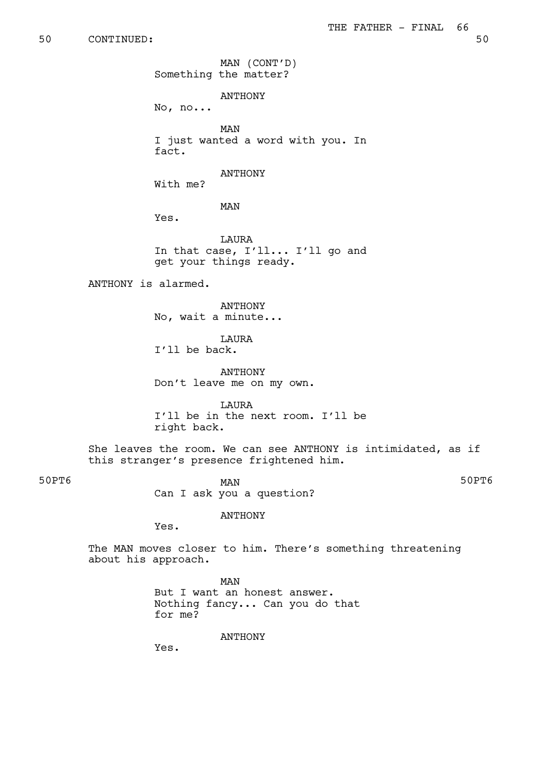## 50 CONTINUED: 50

MAN (CONT'D) Something the matter?

ANTHONY

No, no...

MAN I just wanted a word with you. In fact.

ANTHONY

With me?

MAN

Yes.

LAURA In that case, I'll... I'll go and get your things ready.

ANTHONY is alarmed.

ANTHONY No, wait a minute...

**T.AURA** I'll be back.

ANTHONY Don't leave me on my own.

LAURA I'll be in the next room. I'll be right back.

She leaves the room. We can see ANTHONY is intimidated, as if this stranger's presence frightened him.

50PT6 50PT6 Can I ask you a question?

ANTHONY

Yes.

The MAN moves closer to him. There's something threatening about his approach.

> MAN But I want an honest answer. Nothing fancy... Can you do that for me?

> > ANTHONY

Yes.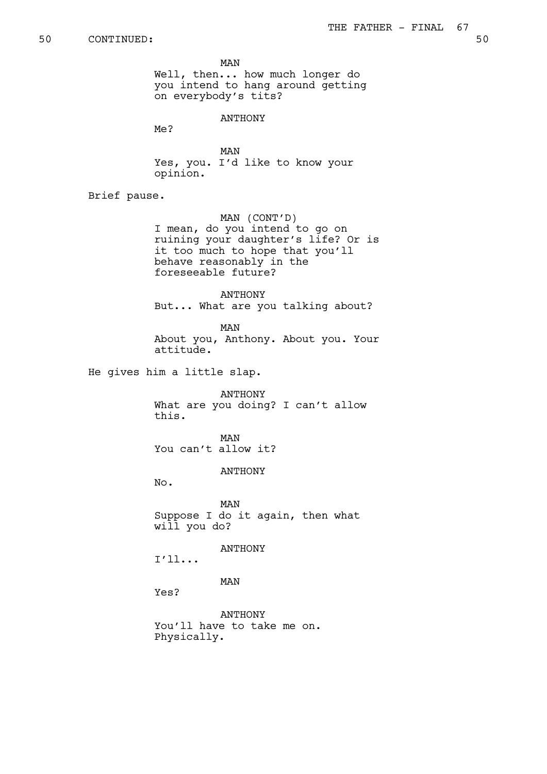MAN

Well, then... how much longer do you intend to hang around getting on everybody's tits?

ANTHONY

Me?

MAN Yes, you. I'd like to know your opinion.

Brief pause.

MAN (CONT'D) I mean, do you intend to go on ruining your daughter's life? Or is it too much to hope that you'll behave reasonably in the foreseeable future?

ANTHONY But... What are you talking about?

MAN About you, Anthony. About you. Your attitude.

He gives him a little slap.

ANTHONY What are you doing? I can't allow this.

MAN You can't allow it?

ANTHONY

No.

MAN Suppose I do it again, then what will you do?

ANTHONY

I'll...

MAN

Yes?

ANTHONY You'll have to take me on. Physically.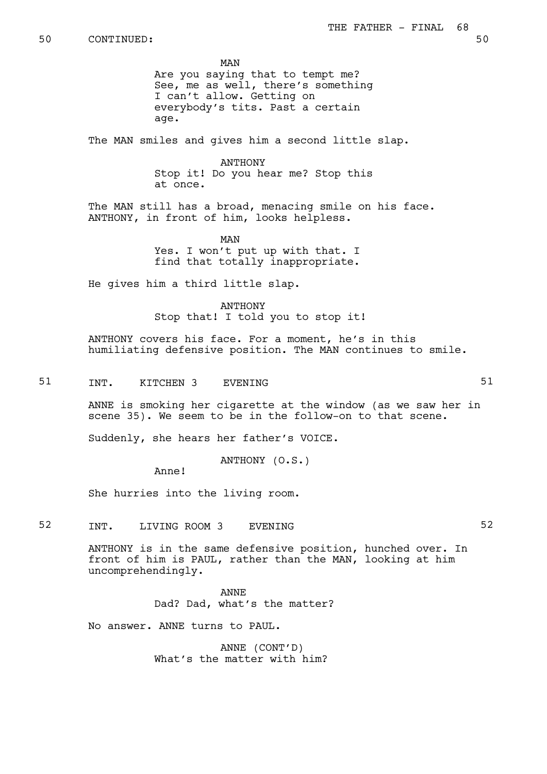MAN Are you saying that to tempt me? See, me as well, there's something I can't allow. Getting on everybody's tits. Past a certain age.

The MAN smiles and gives him a second little slap.

**ANTHONY** Stop it! Do you hear me? Stop this at once.

The MAN still has a broad, menacing smile on his face. ANTHONY, in front of him, looks helpless.

> MAN Yes. I won't put up with that. I find that totally inappropriate.

He gives him a third little slap.

ANTHONY Stop that! I told you to stop it!

ANTHONY covers his face. For a moment, he's in this humiliating defensive position. The MAN continues to smile.

51 INT. KITCHEN 3 EVENING 51

ANNE is smoking her cigarette at the window (as we saw her in scene 35). We seem to be in the follow-on to that scene.

Suddenly, she hears her father's VOICE.

ANTHONY (O.S.)

Anne!

She hurries into the living room.

52 INT. LIVING ROOM 3 EVENING 52

ANTHONY is in the same defensive position, hunched over. In front of him is PAUL, rather than the MAN, looking at him uncomprehendingly.

> ANNE Dad? Dad, what's the matter?

No answer. ANNE turns to PAUL.

ANNE (CONT'D) What's the matter with him?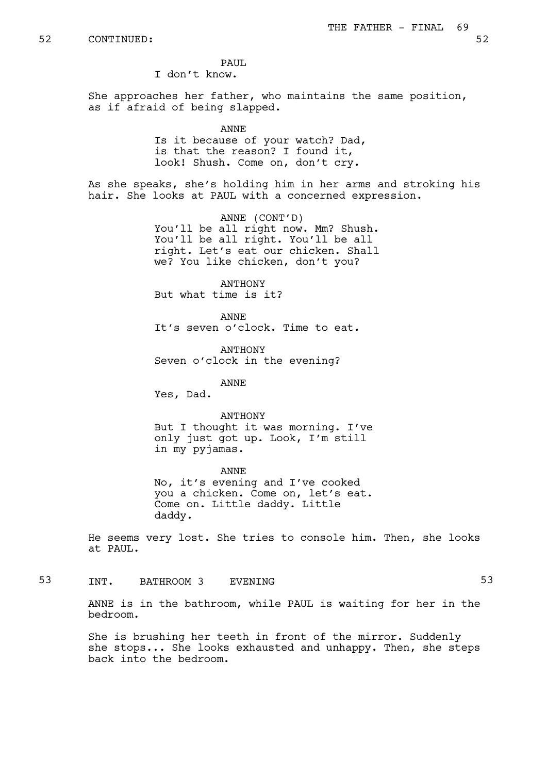PAIIT.

I don't know.

She approaches her father, who maintains the same position, as if afraid of being slapped.

## ANNE

Is it because of your watch? Dad, is that the reason? I found it, look! Shush. Come on, don't cry.

As she speaks, she's holding him in her arms and stroking his hair. She looks at PAUL with a concerned expression.

> ANNE (CONT'D) You'll be all right now. Mm? Shush. You'll be all right. You'll be all right. Let's eat our chicken. Shall we? You like chicken, don't you?

**ANTHONY** But what time is it?

ANNE It's seven o'clock. Time to eat.

ANTHONY Seven o'clock in the evening?

ANNE

Yes, Dad.

ANTHONY But I thought it was morning. I've only just got up. Look, I'm still in my pyjamas.

ANNE No, it's evening and I've cooked you a chicken. Come on, let's eat. Come on. Little daddy. Little daddy.

He seems very lost. She tries to console him. Then, she looks at PAUL.

53 INT. BATHROOM 3 EVENING 53

ANNE is in the bathroom, while PAUL is waiting for her in the bedroom.

She is brushing her teeth in front of the mirror. Suddenly she stops... She looks exhausted and unhappy. Then, she steps back into the bedroom.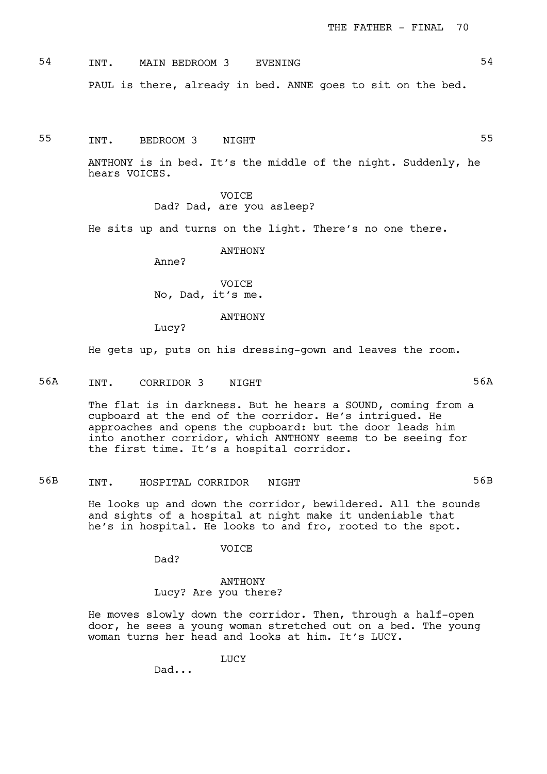54 INT. MAIN BEDROOM 3 EVENING 54 PAUL is there, already in bed. ANNE goes to sit on the bed.

55 TNT. BEDROOM 3 NIGHT

ANTHONY is in bed. It's the middle of the night. Suddenly, he hears VOICES.

> VOICE Dad? Dad, are you asleep?

He sits up and turns on the light. There's no one there.

**ANTHONY** 

Anne?

**VOTCE** No, Dad, it's me.

### ANTHONY

Lucy?

He gets up, puts on his dressing-gown and leaves the room.

56A INT. CORRIDOR 3 NIGHT 56A

The flat is in darkness. But he hears a SOUND, coming from a cupboard at the end of the corridor. He's intrigued. He approaches and opens the cupboard: but the door leads him into another corridor, which ANTHONY seems to be seeing for the first time. It's a hospital corridor.

56B INT. HOSPITAL CORRIDOR NIGHT 56B

He looks up and down the corridor, bewildered. All the sounds and sights of a hospital at night make it undeniable that he's in hospital. He looks to and fro, rooted to the spot.

VOICE

ANTHONY Lucy? Are you there?

He moves slowly down the corridor. Then, through a half-open door, he sees a young woman stretched out on a bed. The young woman turns her head and looks at him. It's LUCY.

LUCY

Dad...

Dad?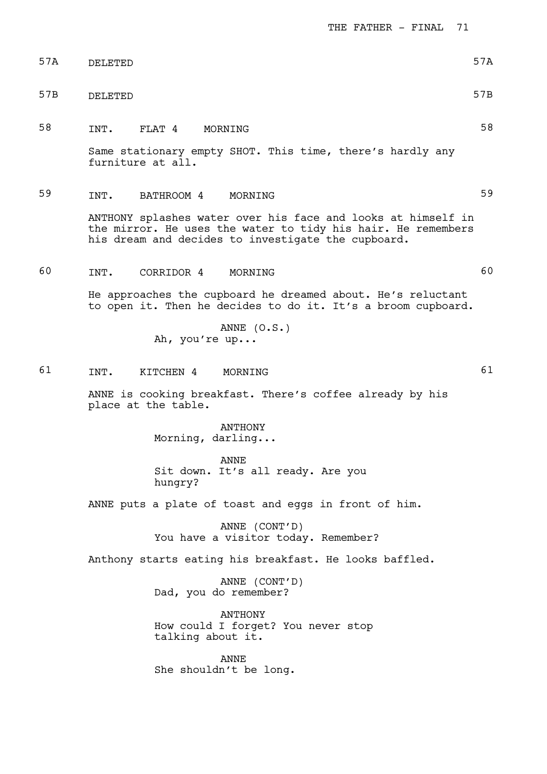THE FATHER - FINAL 71

| 57A | DELETED | 57A |
|-----|---------|-----|
| 57B | DELETED | 57B |

58 INT. FLAT 4 MORNING 58

Same stationary empty SHOT. This time, there's hardly any furniture at all.

59 INT. BATHROOM 4 MORNING 59

ANTHONY splashes water over his face and looks at himself in the mirror. He uses the water to tidy his hair. He remembers his dream and decides to investigate the cupboard.

60 INT. CORRIDOR 4 MORNING 60

He approaches the cupboard he dreamed about. He's reluctant to open it. Then he decides to do it. It's a broom cupboard.

> ANNE (O.S.) Ah, you're up...

61 INT. KITCHEN 4 MORNING 61

ANNE is cooking breakfast. There's coffee already by his place at the table.

> ANTHONY Morning, darling...

ANNE Sit down. It's all ready. Are you hungry?

ANNE puts a plate of toast and eggs in front of him.

ANNE (CONT'D) You have a visitor today. Remember?

Anthony starts eating his breakfast. He looks baffled.

ANNE (CONT'D) Dad, you do remember?

ANTHONY How could I forget? You never stop talking about it.

ANNE She shouldn't be long.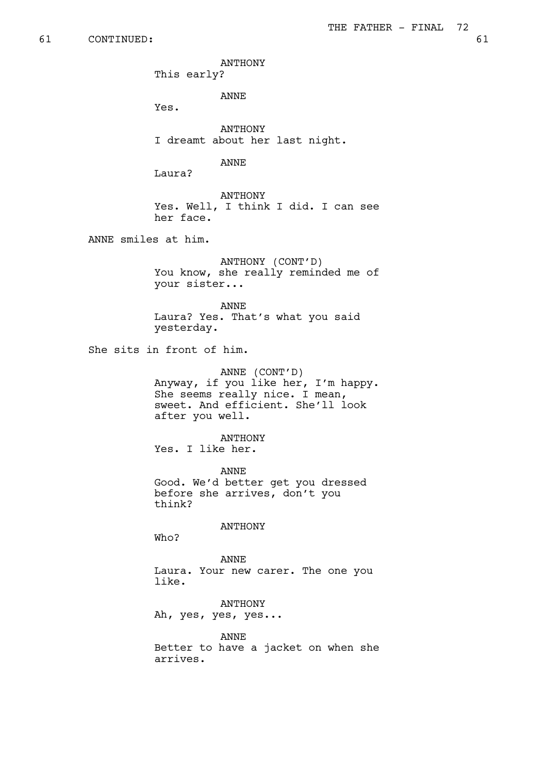ANTHONY

This early?

ANNE

Yes.

ANTHONY I dreamt about her last night.

ANNE

Laura?

ANTHONY Yes. Well, I think I did. I can see her face.

ANNE smiles at him.

ANTHONY (CONT'D) You know, she really reminded me of your sister...

ANNE Laura? Yes. That's what you said yesterday.

She sits in front of him.

ANNE (CONT'D) Anyway, if you like her, I'm happy. She seems really nice. I mean, sweet. And efficient. She'll look after you well.

ANTHONY Yes. I like her.

ANNE Good. We'd better get you dressed before she arrives, don't you think?

ANTHONY

Who?

ANNE Laura. Your new carer. The one you like.

ANTHONY Ah, yes, yes, yes...

ANNE Better to have a jacket on when she arrives.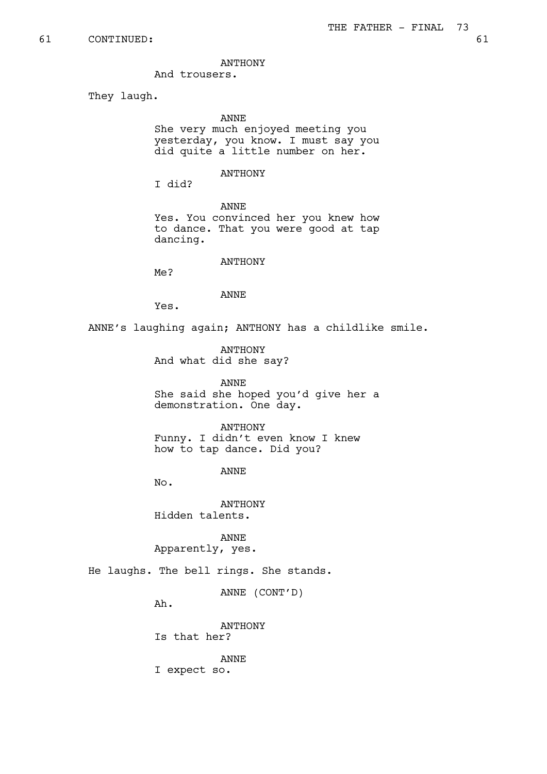ANTHONY

And trousers.

They laugh.

## ANNE

She very much enjoyed meeting you yesterday, you know. I must say you did quite a little number on her.

## ANTHONY

I did?

ANNE

Yes. You convinced her you knew how to dance. That you were good at tap dancing.

## ANTHONY

Me?

## ANNE

Yes.

ANNE's laughing again; ANTHONY has a childlike smile.

ANTHONY And what did she say?

ANNE She said she hoped you'd give her a demonstration. One day.

## ANTHONY

Funny. I didn't even know I knew how to tap dance. Did you?

ANNE

No.

ANTHONY Hidden talents.

ANNE Apparently, yes.

He laughs. The bell rings. She stands.

ANNE (CONT'D)

Ah.

ANTHONY Is that her?

ANNE I expect so.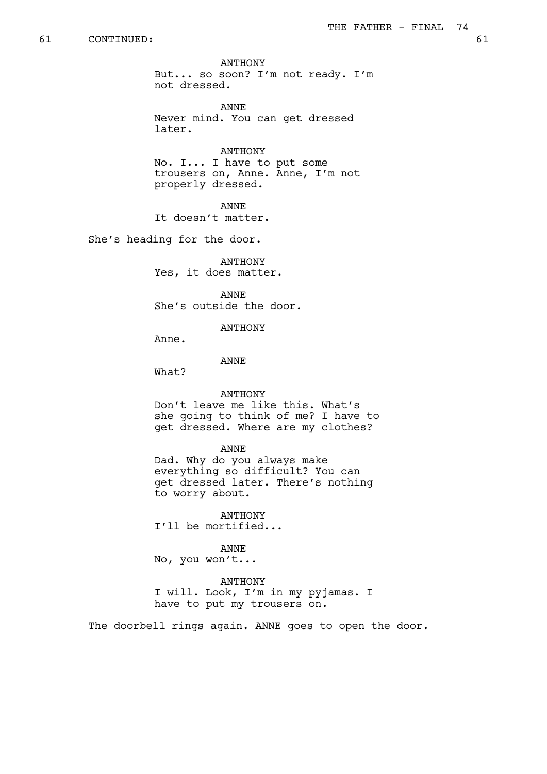# 61 CONTINUED: 61

ANTHONY But... so soon? I'm not ready. I'm not dressed.

ANNE Never mind. You can get dressed later.

ANTHONY No. I... I have to put some trousers on, Anne. Anne, I'm not properly dressed.

ANNE

It doesn't matter.

She's heading for the door.

ANTHONY Yes, it does matter.

ANNE She's outside the door.

ANTHONY

Anne.

ANNE

What?

#### ANTHONY

Don't leave me like this. What's she going to think of me? I have to get dressed. Where are my clothes?

#### ANNE

Dad. Why do you always make everything so difficult? You can get dressed later. There's nothing to worry about.

ANTHONY I'll be mortified...

ANNE No, you won't...

ANTHONY I will. Look, I'm in my pyjamas. I have to put my trousers on.

The doorbell rings again. ANNE goes to open the door.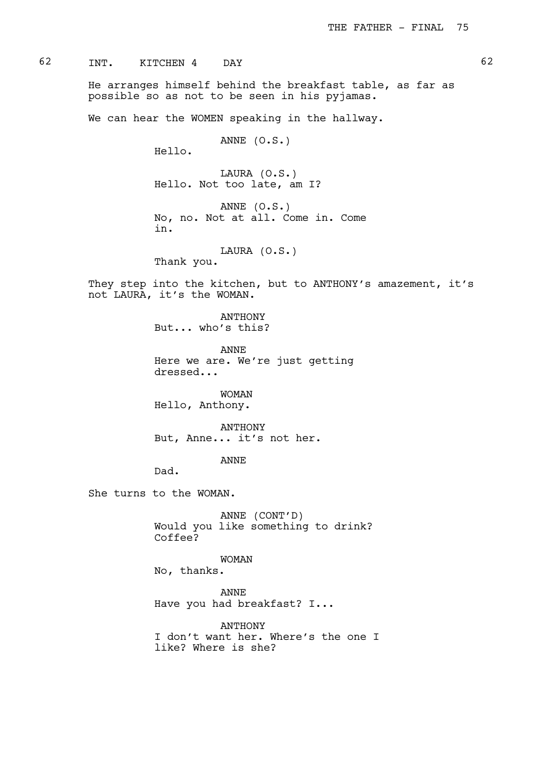62 INT. KITCHEN 4 DAY 62

He arranges himself behind the breakfast table, as far as possible so as not to be seen in his pyjamas.

We can hear the WOMEN speaking in the hallway.

ANNE (O.S.)

Hello.

LAURA (O.S.) Hello. Not too late, am I?

ANNE (O.S.) No, no. Not at all. Come in. Come in.

LAURA (O.S.) Thank you.

They step into the kitchen, but to ANTHONY's amazement, it's not LAURA, it's the WOMAN.

> ANTHONY But... who's this?

ANNE Here we are. We're just getting dressed...

WOMAN Hello, Anthony.

ANTHONY But, Anne... it's not her.

ANNE

Dad.

She turns to the WOMAN.

ANNE (CONT'D) Would you like something to drink? Coffee?

WOMAN

No, thanks.

ANNE

Have you had breakfast? I...

ANTHONY I don't want her. Where's the one I like? Where is she?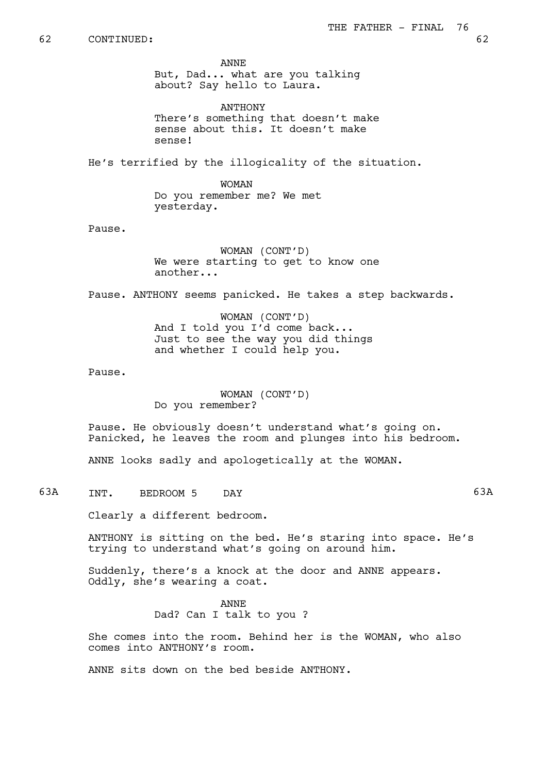ANNE But, Dad... what are you talking about? Say hello to Laura.

ANTHONY There's something that doesn't make sense about this. It doesn't make sense!

He's terrified by the illogicality of the situation.

WOMAN Do you remember me? We met yesterday.

Pause.

WOMAN (CONT'D) We were starting to get to know one another...

Pause. ANTHONY seems panicked. He takes a step backwards.

WOMAN (CONT'D) And I told you I'd come back... Just to see the way you did things and whether I could help you.

Pause.

WOMAN (CONT'D) Do you remember?

Pause. He obviously doesn't understand what's going on. Panicked, he leaves the room and plunges into his bedroom.

ANNE looks sadly and apologetically at the WOMAN.

63A INT. BEDROOM 5 DAY 63A

Clearly a different bedroom.

ANTHONY is sitting on the bed. He's staring into space. He's trying to understand what's going on around him.

Suddenly, there's a knock at the door and ANNE appears. Oddly, she's wearing a coat.

> ANNE Dad? Can I talk to you ?

She comes into the room. Behind her is the WOMAN, who also comes into ANTHONY's room.

ANNE sits down on the bed beside ANTHONY.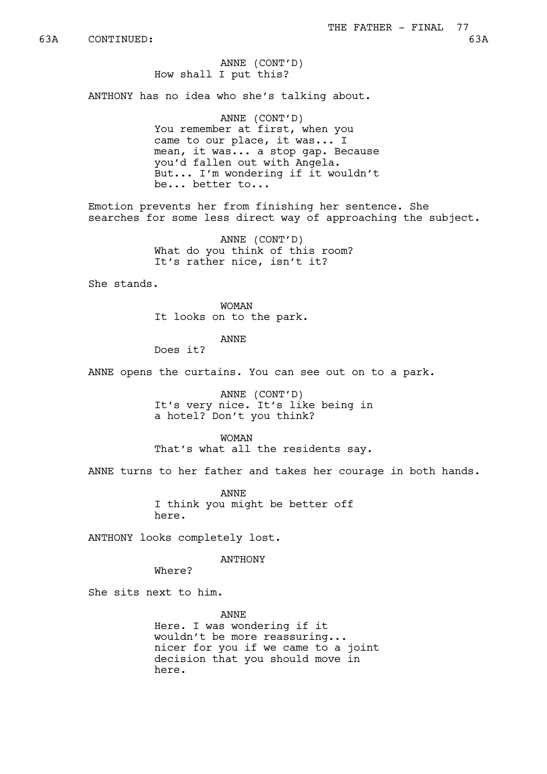ANNE (CONT'D) How shall I put this?

ANTHONY has no idea who she's talking about.

ANNE (CONT'D) You remember at first, when you came to our place, it was... I mean, it was... a stop gap. Because you'd fallen out with Angela. But... I'm wondering if it wouldn't be... better to...

Emotion prevents her from finishing her sentence. She searches for some less direct way of approaching the subject.

> ANNE (CONT'D) What do you think of this room? It's rather nice, isn't it?

She stands.

WOMAN It looks on to the park.

ANNE

Does it?

ANNE opens the curtains. You can see out on to a park.

ANNE (CONT'D) It's very nice. It's like being in a hotel? Don't you think?

WOMAN That's what all the residents say.

ANNE turns to her father and takes her courage in both hands.

ANNE I think you might be better off here.

ANTHONY looks completely lost.

ANTHONY

Where?

She sits next to him.

ANNE Here. I was wondering if it wouldn't be more reassuring... nicer for you if we came to a joint decision that you should move in here.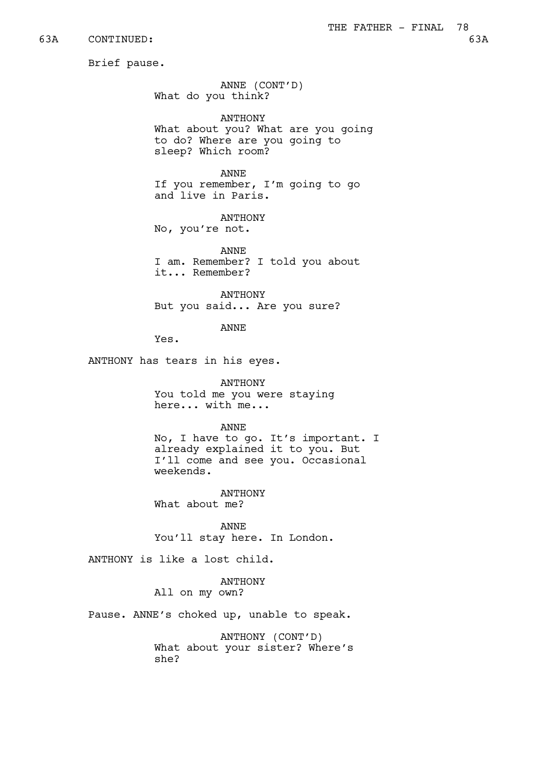63A CONTINUED: 63A

Brief pause.

ANNE (CONT'D) What do you think?

ANTHONY What about you? What are you going to do? Where are you going to sleep? Which room?

ANNE If you remember, I'm going to go and live in Paris.

ANTHONY No, you're not.

ANNE I am. Remember? I told you about it... Remember?

ANTHONY But you said... Are you sure?

ANNE

Yes.

ANTHONY has tears in his eyes.

ANTHONY You told me you were staying here... with me...

ANNE

No, I have to go. It's important. I already explained it to you. But I'll come and see you. Occasional weekends.

ANTHONY What about me?

ANNE You'll stay here. In London.

ANTHONY is like a lost child.

ANTHONY All on my own?

Pause. ANNE's choked up, unable to speak.

ANTHONY (CONT'D) What about your sister? Where's she?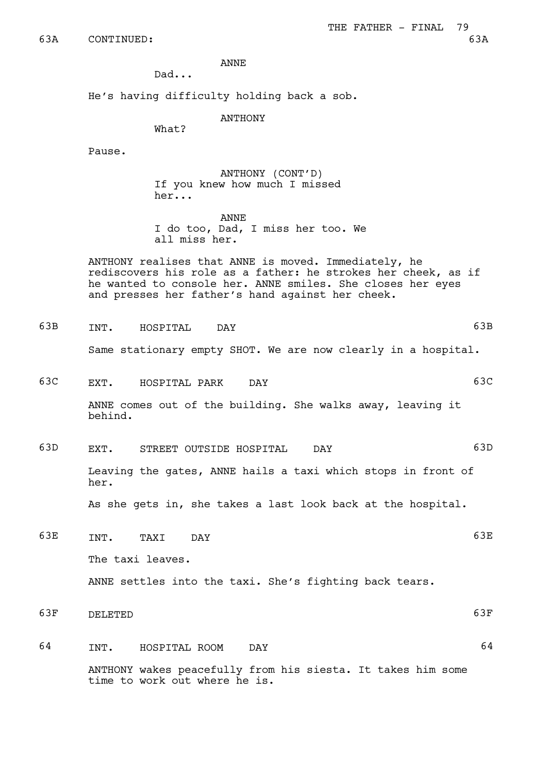ANNE

Dad...

He's having difficulty holding back a sob.

ANTHONY

What?

Pause.

ANTHONY (CONT'D) If you knew how much I missed her...

ANNE I do too, Dad, I miss her too. We all miss her.

ANTHONY realises that ANNE is moved. Immediately, he rediscovers his role as a father: he strokes her cheek, as if he wanted to console her. ANNE smiles. She closes her eyes and presses her father's hand against her cheek.

63B INT. HOSPITAL DAY 63B

Same stationary empty SHOT. We are now clearly in a hospital.

63C EXT. HOSPITAL PARK DAY 63C

ANNE comes out of the building. She walks away, leaving it behind.

63D EXT. STREET OUTSIDE HOSPITAL DAY 63D

Leaving the gates, ANNE hails a taxi which stops in front of her.

As she gets in, she takes a last look back at the hospital.

- 63E INT. TAXI DAY 63E The taxi leaves. ANNE settles into the taxi. She's fighting back tears.
- 63F DELETED 63F
- 64 INT. HOSPITAL ROOM DAY 64 ANTHONY wakes peacefully from his siesta. It takes him some time to work out where he is.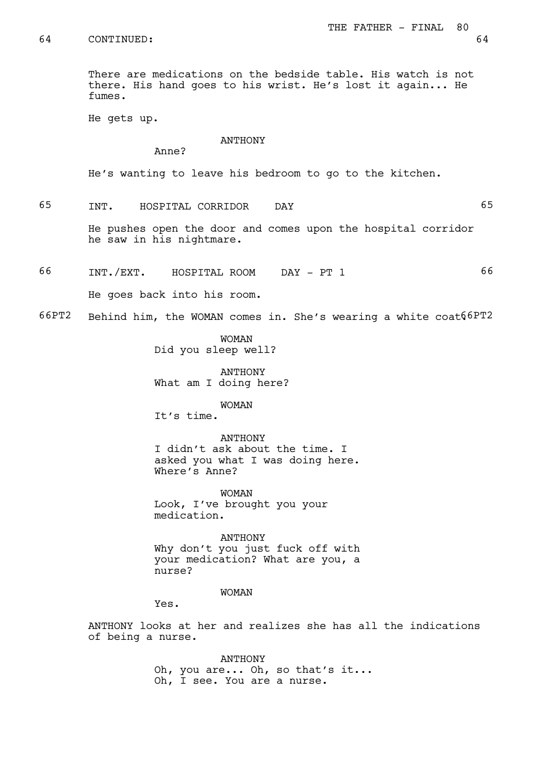64 CONTINUED: 64

There are medications on the bedside table. His watch is not there. His hand goes to his wrist. He's lost it again... He fumes.

He gets up.

### ANTHONY

Anne?

He's wanting to leave his bedroom to go to the kitchen.

65 INT. HOSPITAL CORRIDOR DAY 65

He pushes open the door and comes upon the hospital corridor he saw in his nightmare.

66 INT./EXT. HOSPITAL ROOM DAY - PT 1 66

He goes back into his room.

 $66PT2$  Behind him, the WOMAN comes in. She's wearing a white coat $66PT2$ 

WOMAN Did you sleep well?

ANTHONY What am I doing here?

WOMAN

It's time.

ANTHONY I didn't ask about the time. I asked you what I was doing here. Where's Anne?

WOMAN Look, I've brought you your medication.

ANTHONY Why don't you just fuck off with your medication? What are you, a nurse?

WOMAN

Yes.

ANTHONY looks at her and realizes she has all the indications of being a nurse.

> ANTHONY Oh, you are... Oh, so that's it... Oh, I see. You are a nurse.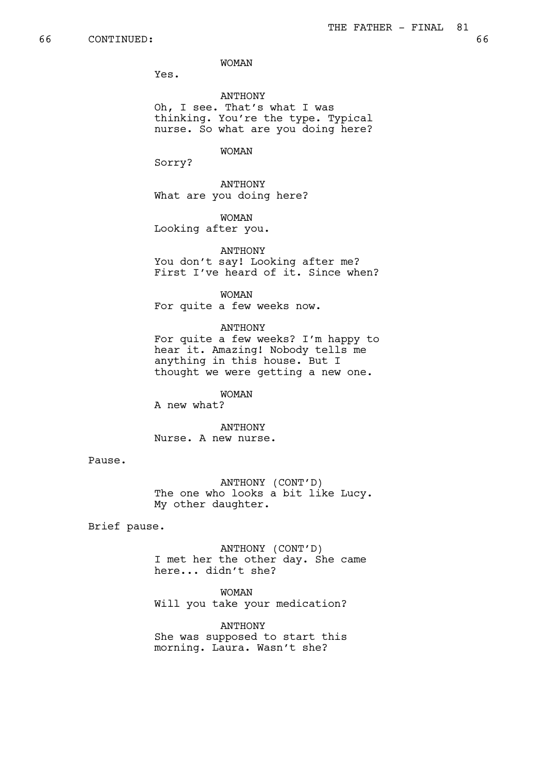Yes.

ANTHONY Oh, I see. That's what I was thinking. You're the type. Typical nurse. So what are you doing here?

WOMAN

Sorry?

ANTHONY What are you doing here?

WOMAN Looking after you.

ANTHONY You don't say! Looking after me? First I've heard of it. Since when?

WOMAN For quite a few weeks now.

ANTHONY For quite a few weeks? I'm happy to hear it. Amazing! Nobody tells me

anything in this house. But I thought we were getting a new one.

WOMAN A new what?

ANTHONY Nurse. A new nurse.

Pause.

ANTHONY (CONT'D) The one who looks a bit like Lucy. My other daughter.

Brief pause.

ANTHONY (CONT'D) I met her the other day. She came here... didn't she?

WOMAN

Will you take your medication?

ANTHONY She was supposed to start this morning. Laura. Wasn't she?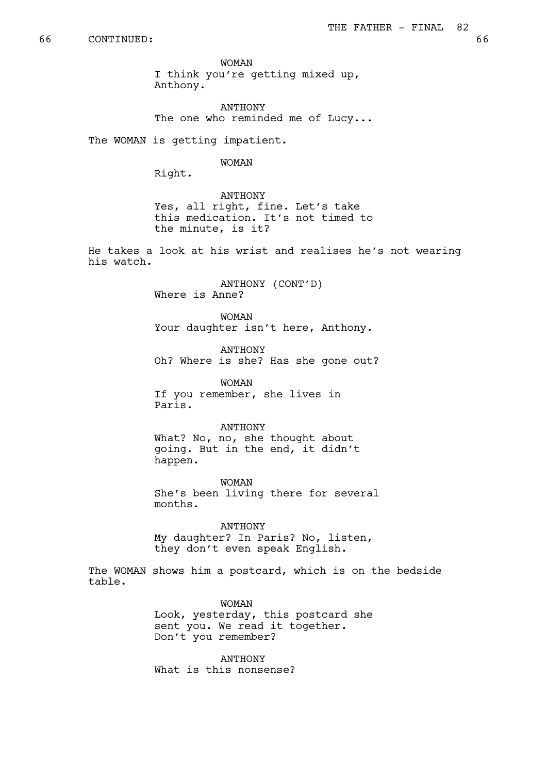WOMAN I think you're getting mixed up, Anthony.

ANTHONY The one who reminded me of Lucy...

The WOMAN is getting impatient.

WOMAN

Right.

ANTHONY Yes, all right, fine. Let's take this medication. It's not timed to the minute, is it?

He takes a look at his wrist and realises he's not wearing his watch.

> ANTHONY (CONT'D) Where is Anne?

WOMAN Your daughter isn't here, Anthony.

ANTHONY Oh? Where is she? Has she gone out?

WOMAN If you remember, she lives in Paris.

# ANTHONY

What? No, no, she thought about going. But in the end, it didn't happen.

WOMAN She's been living there for several months.

ANTHONY My daughter? In Paris? No, listen, they don't even speak English.

The WOMAN shows him a postcard, which is on the bedside table.

> WOMAN Look, yesterday, this postcard she sent you. We read it together. Don't you remember?

ANTHONY What is this nonsense?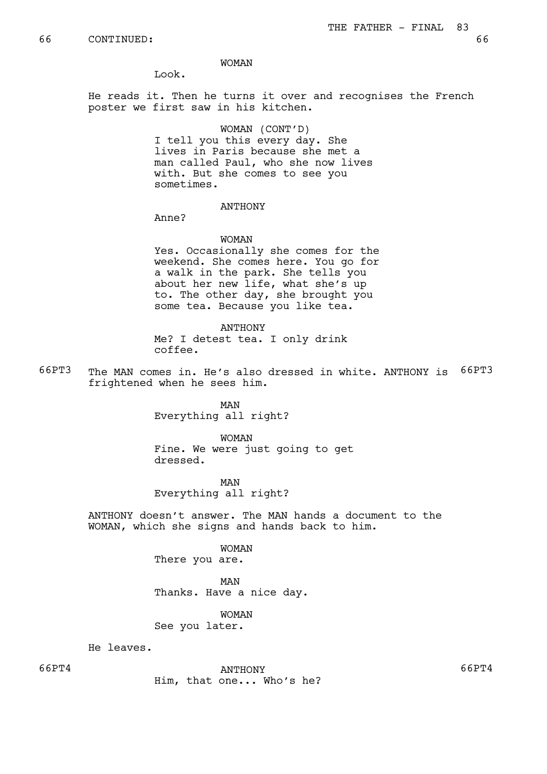Look.

He reads it. Then he turns it over and recognises the French poster we first saw in his kitchen.

# WOMAN (CONT'D)

I tell you this every day. She lives in Paris because she met a man called Paul, who she now lives with. But she comes to see you sometimes.

## ANTHONY

Anne?

### WOMAN

Yes. Occasionally she comes for the weekend. She comes here. You go for a walk in the park. She tells you about her new life, what she's up to. The other day, she brought you some tea. Because you like tea.

ANTHONY Me? I detest tea. I only drink coffee.

66PT3 The MAN comes in. He's also dressed in white. ANTHONY is 66PT3 frightened when he sees him.

> MAN Everything all right?

WOMAN Fine. We were just going to get dressed.

MAN Everything all right?

ANTHONY doesn't answer. The MAN hands a document to the WOMAN, which she signs and hands back to him.

> WOMAN There you are.

MAN Thanks. Have a nice day.

WOMAN See you later.

He leaves.

66PT4 ANTHONY 66PT4 Him, that one... Who's he?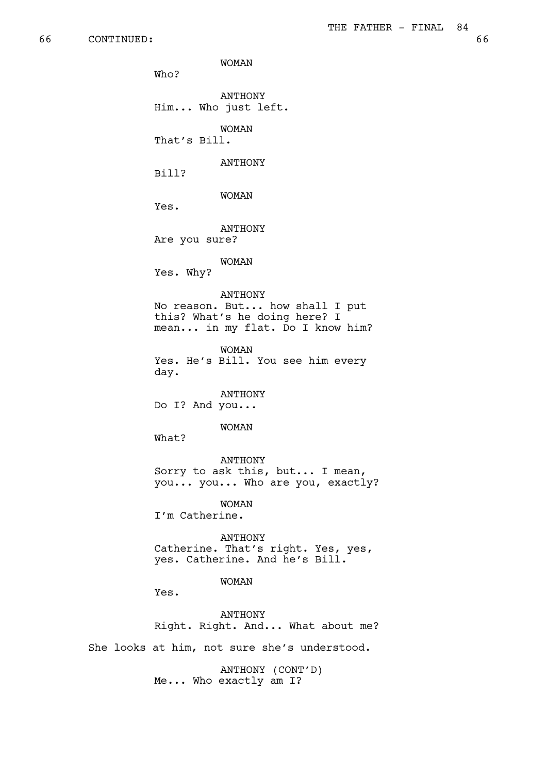WOMAN Who? ANTHONY Him... Who just left. WOMAN That's Bill. ANTHONY Bill? WOMAN Yes. ANTHONY Are you sure? WOMAN Yes. Why? ANTHONY No reason. But... how shall I put this? What's he doing here? I mean... in my flat. Do I know him? WOMAN Yes. He's Bill. You see him every day. ANTHONY Do I? And you... WOMAN What? ANTHONY Sorry to ask this, but... I mean, you... you... Who are you, exactly? WOMAN I'm Catherine. ANTHONY Catherine. That's right. Yes, yes, yes. Catherine. And he's Bill. WOMAN Yes. ANTHONY Right. Right. And... What about me? She looks at him, not sure she's understood.

> ANTHONY (CONT'D) Me... Who exactly am I?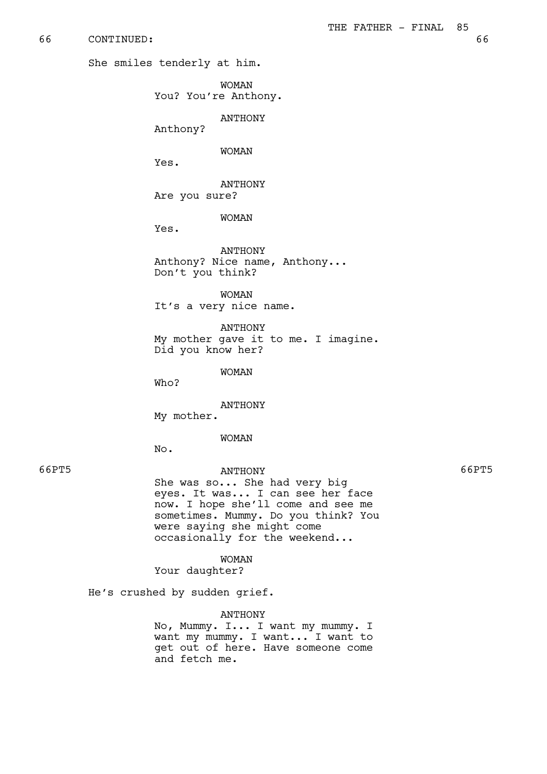66 CONTINUED: 66

She smiles tenderly at him.

WOMAN You? You're Anthony.

ANTHONY

Anthony?

## WOMAN

Yes.

ANTHONY Are you sure?

# WOMAN

Yes.

ANTHONY Anthony? Nice name, Anthony... Don't you think?

WOMAN It's a very nice name.

ANTHONY My mother gave it to me. I imagine. Did you know her?

WOMAN

Who?

ANTHONY My mother.

### WOMAN

No.

66PT5 ANTHONY 66PT5 She was so... She had very big eyes. It was... I can see her face now. I hope she'll come and see me sometimes. Mummy. Do you think? You were saying she might come occasionally for the weekend...

WOMAN

Your daughter?

He's crushed by sudden grief.

#### ANTHONY

No, Mummy. I... I want my mummy. I want my mummy. I want... I want to get out of here. Have someone come and fetch me.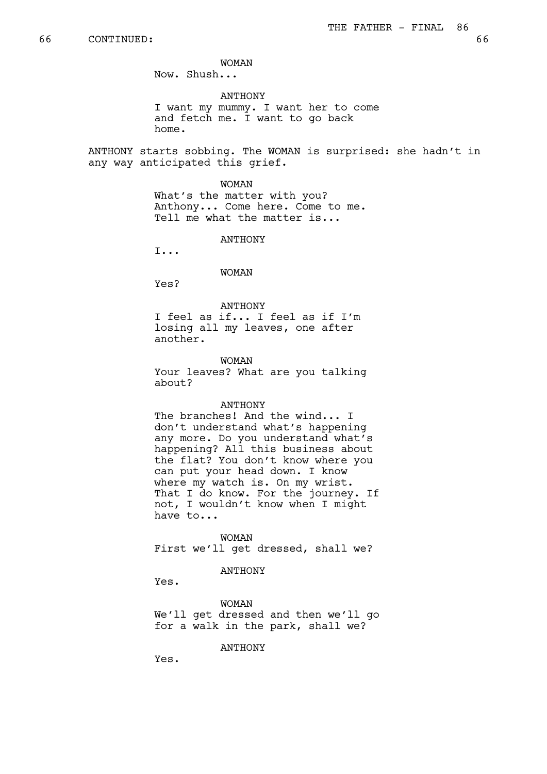Now. Shush...

ANTHONY

I want my mummy. I want her to come and fetch me. I want to go back home.

ANTHONY starts sobbing. The WOMAN is surprised: she hadn't in any way anticipated this grief.

> WOMAN What's the matter with you? Anthony... Come here. Come to me. Tell me what the matter is...

> > ANTHONY

I...

WOMAN

Yes?

ANTHONY

I feel as if... I feel as if I'm losing all my leaves, one after another.

WOMAN Your leaves? What are you talking about?

#### ANTHONY

The branches! And the wind... I don't understand what's happening any more. Do you understand what's happening? All this business about the flat? You don't know where you can put your head down. I know where my watch is. On my wrist. That I do know. For the journey. If not, I wouldn't know when I might have to...

WOMAN First we'll get dressed, shall we?

## ANTHONY

Yes.

WOMAN We'll get dressed and then we'll go for a walk in the park, shall we?

ANTHONY

Yes.